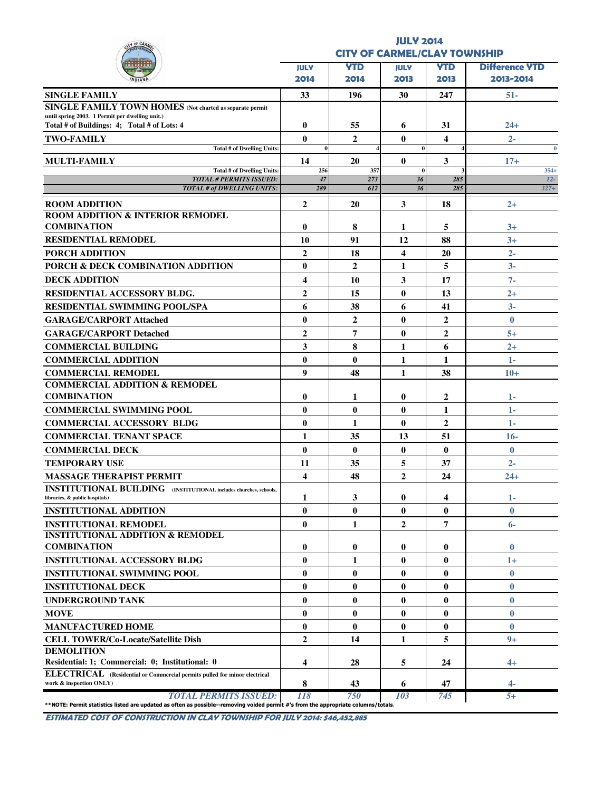| OF CAA                                                                                                                                                             |                     | <b>CITY OF CARMEL/CLAY TOWNSHIP</b> | <b>JULY 2014</b>        |                    |                                    |
|--------------------------------------------------------------------------------------------------------------------------------------------------------------------|---------------------|-------------------------------------|-------------------------|--------------------|------------------------------------|
|                                                                                                                                                                    |                     |                                     |                         |                    |                                    |
|                                                                                                                                                                    | <b>JULY</b><br>2014 | <b>YTD</b><br>2014                  | <b>JULY</b><br>2013     | <b>YTD</b><br>2013 | <b>Difference YTD</b><br>2013-2014 |
| <b>SINGLE FAMILY</b>                                                                                                                                               | 33                  | 196                                 | 30                      | 247                | $51 -$                             |
| <b>SINGLE FAMILY TOWN HOMES</b> (Not charted as separate permit                                                                                                    |                     |                                     |                         |                    |                                    |
| until spring 2003. 1 Permit per dwelling unit.)<br>Total # of Buildings: 4; Total # of Lots: 4                                                                     | 0                   | 55                                  | 6                       | 31                 | $24+$                              |
| <b>TWO-FAMILY</b>                                                                                                                                                  | $\bf{0}$            | $\mathbf{2}$                        | 0                       | 4                  | $2 -$                              |
| Total # of Dwelling Units:                                                                                                                                         | $\bf{0}$            |                                     | $\bf{0}$                |                    | $\bf{0}$                           |
| <b>MULTI-FAMILY</b><br>Total # of Dwelling Units:                                                                                                                  | 14<br>256           | 20<br>357                           | $\bf{0}$<br>$\bf{0}$    | 3                  | $17+$<br>$354+$                    |
| <b>TOTAL # PERMITS ISSUED:</b>                                                                                                                                     | 47                  | 273                                 | 36                      | 285                | $12-$                              |
| <b>TOTAL # of DWELLING UNITS:</b>                                                                                                                                  | 289                 | 612                                 | 36                      | 285                | $327+$                             |
| <b>ROOM ADDITION</b>                                                                                                                                               | $\overline{2}$      | 20                                  | 3                       | 18                 | $2+$                               |
| <b>ROOM ADDITION &amp; INTERIOR REMODEL</b>                                                                                                                        |                     |                                     |                         |                    |                                    |
| <b>COMBINATION</b>                                                                                                                                                 | $\bf{0}$            | 8                                   | 1                       | 5                  | $3+$                               |
| <b>RESIDENTIAL REMODEL</b>                                                                                                                                         | 10                  | 91                                  | 12                      | 88                 | $3+$                               |
| <b>PORCH ADDITION</b>                                                                                                                                              | $\overline{2}$      | 18                                  | $\overline{\mathbf{4}}$ | 20                 | $2 -$                              |
| PORCH & DECK COMBINATION ADDITION                                                                                                                                  | $\bf{0}$            | $\mathbf{2}$                        | 1                       | 5                  | $3 -$                              |
| <b>DECK ADDITION</b>                                                                                                                                               | 4                   | 10                                  | 3                       | 17                 | $7 -$                              |
| RESIDENTIAL ACCESSORY BLDG.                                                                                                                                        | 2                   | 15                                  | $\bf{0}$                | 13                 | $^{2+}$                            |
| <b>RESIDENTIAL SWIMMING POOL/SPA</b>                                                                                                                               | 6                   | 38                                  | 6                       | 41                 | $3-$                               |
| <b>GARAGE/CARPORT Attached</b>                                                                                                                                     | $\bf{0}$            | $\mathbf{2}$                        | $\bf{0}$                | $\mathbf{2}$       | $\mathbf{0}$                       |
| <b>GARAGE/CARPORT Detached</b>                                                                                                                                     | $\overline{2}$      | 7                                   | $\bf{0}$                | $\mathbf{2}$       | $5+$                               |
| <b>COMMERCIAL BUILDING</b>                                                                                                                                         | 3                   | 8                                   | 1                       | 6                  | $2+$                               |
| <b>COMMERCIAL ADDITION</b>                                                                                                                                         | $\bf{0}$            | $\bf{0}$                            | 1                       | 1                  | $1 -$                              |
| <b>COMMERCIAL REMODEL</b>                                                                                                                                          | 9                   | 48                                  | 1                       | 38                 | $10+$                              |
| <b>COMMERCIAL ADDITION &amp; REMODEL</b><br><b>COMBINATION</b>                                                                                                     | $\bf{0}$            | 1                                   | $\bf{0}$                | 2                  | 1-                                 |
| <b>COMMERCIAL SWIMMING POOL</b>                                                                                                                                    | $\bf{0}$            | $\bf{0}$                            | $\bf{0}$                | 1                  | $1-$                               |
| <b>COMMERCIAL ACCESSORY BLDG</b>                                                                                                                                   | $\bf{0}$            | 1                                   | 0                       | $\overline{2}$     | $1 -$                              |
| <b>COMMERCIAL TENANT SPACE</b>                                                                                                                                     | 1                   | 35                                  | 13                      | 51                 | $16-$                              |
| <b>COMMERCIAL DECK</b>                                                                                                                                             | $\bf{0}$            | $\bf{0}$                            | $\bf{0}$                | $\bf{0}$           | $\mathbf{0}$                       |
| <b>TEMPORARY USE</b>                                                                                                                                               | 11                  | 35                                  | 5                       | 37                 | $2 -$                              |
| <b>MASSAGE THERAPIST PERMIT</b>                                                                                                                                    | 4                   | 48                                  | $\mathbf{2}$            | 24                 | $24+$                              |
| <b>INSTITUTIONAL BUILDING</b> (INSTITUTIONAL includes churches, schools,<br>libraries, & public hospitals)                                                         | 1                   | 3                                   | $\bf{0}$                | 4                  | $1 -$                              |
| <b>INSTITUTIONAL ADDITION</b>                                                                                                                                      | $\bf{0}$            | $\bf{0}$                            | $\bf{0}$                | $\bf{0}$           | $\bf{0}$                           |
| <b>INSTITUTIONAL REMODEL</b>                                                                                                                                       | $\bf{0}$            | 1                                   | $\mathbf{2}$            | 7                  | $6-$                               |
| <b>INSTITUTIONAL ADDITION &amp; REMODEL</b>                                                                                                                        |                     |                                     |                         |                    |                                    |
| <b>COMBINATION</b>                                                                                                                                                 | $\bf{0}$            | $\bf{0}$                            | $\bf{0}$                | $\bf{0}$           | $\mathbf{0}$                       |
| <b>INSTITUTIONAL ACCESSORY BLDG</b>                                                                                                                                | 0                   | 1                                   | 0                       | $\bf{0}$           | $1+$                               |
| <b>INSTITUTIONAL SWIMMING POOL</b>                                                                                                                                 | $\bf{0}$            | $\bf{0}$                            | $\bf{0}$                | $\bf{0}$           | $\mathbf{0}$                       |
| <b>INSTITUTIONAL DECK</b>                                                                                                                                          | $\bf{0}$            | $\bf{0}$                            | $\bf{0}$                | $\bf{0}$           | $\bf{0}$                           |
| UNDERGROUND TANK                                                                                                                                                   | $\bf{0}$            | 0                                   | $\bf{0}$                | $\bf{0}$           | $\bf{0}$                           |
| <b>MOVE</b>                                                                                                                                                        | $\bf{0}$            | $\bf{0}$                            | $\bf{0}$                | $\bf{0}$           | $\bf{0}$                           |
| <b>MANUFACTURED HOME</b>                                                                                                                                           | $\bf{0}$            | $\bf{0}$                            | $\bf{0}$                | $\bf{0}$           | $\mathbf{0}$                       |
| <b>CELL TOWER/Co-Locate/Satellite Dish</b>                                                                                                                         | $\overline{2}$      | 14                                  | 1                       | 5                  | $9+$                               |
| <b>DEMOLITION</b>                                                                                                                                                  |                     |                                     |                         |                    |                                    |
| Residential: 1; Commercial: 0; Institutional: 0                                                                                                                    | 4                   | 28                                  | 5                       | 24                 | $4+$                               |
| ELECTRICAL (Residential or Commercial permits pulled for minor electrical<br>work & inspection ONLY)                                                               | 8                   | 43                                  | 6                       | 47                 | 4-                                 |
| <b>TOTAL PERMITS ISSUED:</b><br>**NOTE: Permit statistics listed are updated as often as possible--removing voided permit #'s from the appropriate columns/totals. | 118                 | 750                                 | 103                     | 745                | $5+$                               |

ESTIMATED COST OF CONSTRUCTION IN CLAY TOWNSHIP FOR JULY 2014: \$46,452,885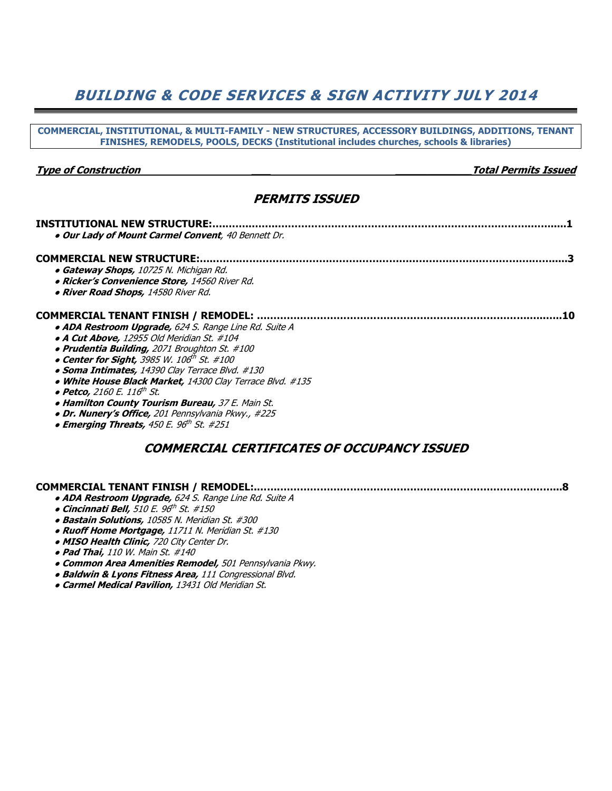## BUILDING & CODE SERVICES & SIGN ACTIVITY JULY 2014

| COMMERCIAL, INSTITUTIONAL, & MULTI-FAMILY - NEW STRUCTURES, ACCESSORY BUILDINGS, ADDITIONS, TENANT<br>FINISHES, REMODELS, POOLS, DECKS (Institutional includes churches, schools & libraries)                                                                                                                                                                                                                                                                                                                                                                          |    |
|------------------------------------------------------------------------------------------------------------------------------------------------------------------------------------------------------------------------------------------------------------------------------------------------------------------------------------------------------------------------------------------------------------------------------------------------------------------------------------------------------------------------------------------------------------------------|----|
| <b>Type of Construction</b><br><b>Total Permits Issued</b>                                                                                                                                                                                                                                                                                                                                                                                                                                                                                                             |    |
| <b>PERMITS ISSUED</b>                                                                                                                                                                                                                                                                                                                                                                                                                                                                                                                                                  |    |
| <b>INSTITUTIONAL NEW STRUCTURE:.</b><br>. Our Lady of Mount Carmel Convent, 40 Bennett Dr.                                                                                                                                                                                                                                                                                                                                                                                                                                                                             |    |
| <b>COMMERCIAL NEW STRUCTURE:.</b><br>• Gateway Shops, 10725 N. Michigan Rd.<br>· Ricker's Convenience Store, 14560 River Rd.<br>. River Road Shops, 14580 River Rd.                                                                                                                                                                                                                                                                                                                                                                                                    |    |
| COMMERCIAL TENANT FINISH / REMODEL:<br>· ADA Restroom Upgrade, 624 S. Range Line Rd. Suite A<br>· A Cut Above, 12955 Old Meridian St. #104<br>· Prudentia Building, 2071 Broughton St. #100<br>• Center for Sight, 3985 W. 106th St. #100<br>· Soma Intimates, 14390 Clay Terrace Blvd. #130<br>. White House Black Market, 14300 Clay Terrace Blvd. #135<br>• Petco, 2160 E. 116 <sup>th</sup> St.<br>• Hamilton County Tourism Bureau, 37 E. Main St.<br>· Dr. Nunery's Office, 201 Pennsylvania Pkwy., #225<br>• Emerging Threats, 450 E. 96 <sup>th</sup> St. #251 | 10 |
| COMMERCIAL CERTIFICATES OF OCCUPANCY ISSUED                                                                                                                                                                                                                                                                                                                                                                                                                                                                                                                            |    |

#### COMMERCIAL TENANT FINISH / REMODEL:.…….………………………………………………………………….……...8

- ADA Restroom Upgrade, 624 S. Range Line Rd. Suite A
- o Cincinnati Bell, 510 E. 96<sup>th</sup> St. #150
	- Bastain Solutions, 10585 N. Meridian St. #300
	- Ruoff Home Mortgage, 11711 N. Meridian St. #130
	- MISO Health Clinic, 720 City Center Dr.
	- Pad Thai, 110 W. Main St. #140
	- Common Area Amenities Remodel, 501 Pennsylvania Pkwy.
	- Baldwin & Lyons Fitness Area, 111 Congressional Blvd.
	- **Carmel Medical Pavilion, 13431 Old Meridian St.**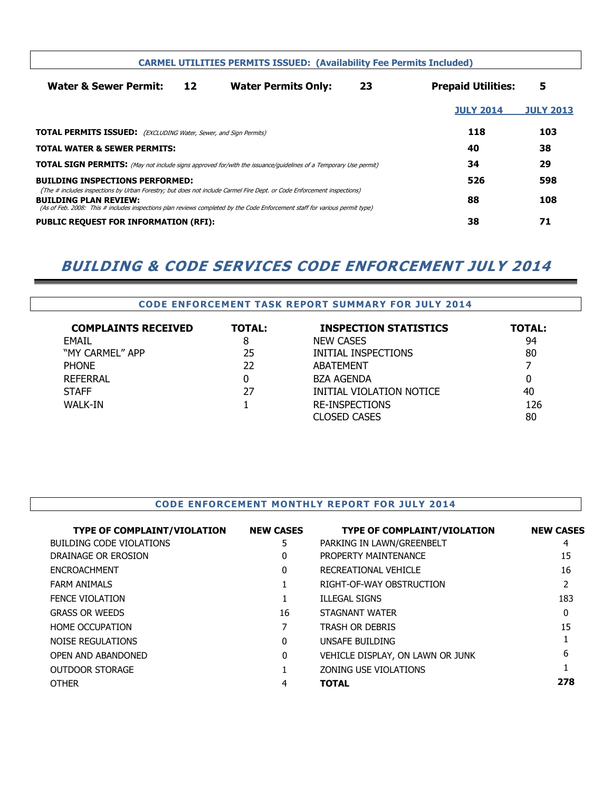|                                                                                                                                                                                                                                                                                       |    | <b>CARMEL UTILITIES PERMITS ISSUED: (Availability Fee Permits Included)</b> |    |                           |                  |
|---------------------------------------------------------------------------------------------------------------------------------------------------------------------------------------------------------------------------------------------------------------------------------------|----|-----------------------------------------------------------------------------|----|---------------------------|------------------|
| <b>Water &amp; Sewer Permit:</b>                                                                                                                                                                                                                                                      | 12 | <b>Water Permits Only:</b>                                                  | 23 | <b>Prepaid Utilities:</b> | 5                |
|                                                                                                                                                                                                                                                                                       |    |                                                                             |    | <b>JULY 2014</b>          | <b>JULY 2013</b> |
| <b>TOTAL PERMITS ISSUED:</b> (EXCLUDING Water, Sewer, and Sign Permits)                                                                                                                                                                                                               |    |                                                                             |    | 118                       | 103              |
| <b>TOTAL WATER &amp; SEWER PERMITS:</b>                                                                                                                                                                                                                                               |    |                                                                             |    | 40                        | 38               |
| <b>TOTAL SIGN PERMITS:</b> (May not include signs approved for/with the issuance/guidelines of a Temporary Use permit)                                                                                                                                                                |    |                                                                             |    | 34                        | 29               |
| <b>BUILDING INSPECTIONS PERFORMED:</b>                                                                                                                                                                                                                                                |    |                                                                             |    | 526                       | 598              |
| (The # includes inspections by Urban Forestry; but does not include Carmel Fire Dept. or Code Enforcement inspections)<br><b>BUILDING PLAN REVIEW:</b><br>(As of Feb. 2008: This # includes inspections plan reviews completed by the Code Enforcement staff for various permit type) |    |                                                                             |    | 88                        | 108              |
| <b>PUBLIC REQUEST FOR INFORMATION (RFI):</b>                                                                                                                                                                                                                                          |    |                                                                             |    | 38                        | 71               |

## BUILDING & CODE SERVICES CODE ENFORCEMENT JULY 2014

### CODE ENFORCEMENT TASK REPORT SUMMARY FOR JULY 2014

| <b>COMPLAINTS RECEIVED</b> | <b>TOTAL:</b> | <b>INSPECTION STATISTICS</b> | <b>TOTAL:</b>  |
|----------------------------|---------------|------------------------------|----------------|
| <b>FMAIL</b>               | 8             | <b>NEW CASES</b>             | 94             |
| "MY CARMEL" APP            | 25            | INITIAL INSPECTIONS          | 80             |
| <b>PHONE</b>               | 22            | <b>ABATEMENT</b>             | $\overline{ }$ |
| REFERRAL                   | 0             | <b>BZA AGENDA</b>            | 0              |
| <b>STAFF</b>               | 27            | INITIAL VIOLATION NOTICE     | 40             |
| <b>WALK-IN</b>             |               | <b>RE-INSPECTIONS</b>        | 126            |
|                            |               | <b>CLOSED CASES</b>          | 80             |

#### CODE ENFORCEMENT MONTHLY REPORT FOR JULY 2014

| <b>TYPE OF COMPLAINT/VIOLATION</b> | <b>NEW CASES</b> | <b>TYPE OF COMPLAINT/VIOLATION</b> | <b>NEW CASES</b> |
|------------------------------------|------------------|------------------------------------|------------------|
| <b>BUILDING CODE VIOLATIONS</b>    | 5                | PARKING IN LAWN/GREENBELT          | 4                |
| DRAINAGE OR EROSION                | 0                | PROPERTY MAINTENANCE               | 15               |
| <b>ENCROACHMENT</b>                | 0                | RECREATIONAL VEHICLE               | 16               |
| <b>FARM ANIMALS</b>                |                  | RIGHT-OF-WAY OBSTRUCTION           | 2                |
| <b>FENCE VIOLATION</b>             |                  | <b>ILLEGAL SIGNS</b>               | 183              |
| <b>GRASS OR WEEDS</b>              | 16               | STAGNANT WATER                     | 0                |
| HOME OCCUPATION                    |                  | <b>TRASH OR DEBRIS</b>             | 15               |
| NOISE REGULATIONS                  | $\Omega$         | UNSAFE BUILDING                    |                  |
| OPEN AND ABANDONED                 | $\Omega$         | VEHICLE DISPLAY, ON LAWN OR JUNK   | 6                |
| <b>OUTDOOR STORAGE</b>             |                  | ZONING USE VIOLATIONS              |                  |
| <b>OTHER</b>                       | 4                | <b>TOTAL</b>                       | 278              |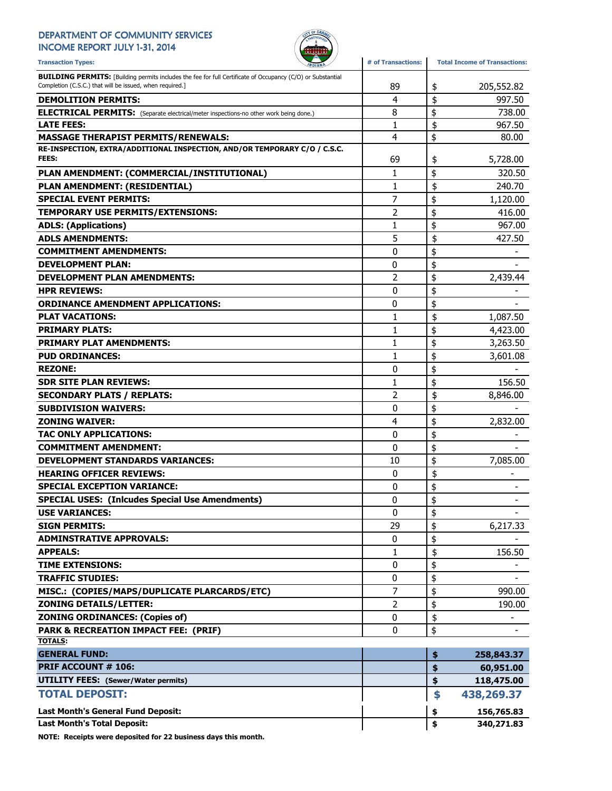#### DEPARTMENT OF COMMUNITY SERVICES INCOME REPORT JULY 1-31, 2014



| <b>Transaction Types:</b>                                                                                                                                                      | # of Transactions: | <b>Total Income of Transactions:</b> |
|--------------------------------------------------------------------------------------------------------------------------------------------------------------------------------|--------------------|--------------------------------------|
| <b>BUILDING PERMITS:</b> [Building permits includes the fee for full Certificate of Occupancy (C/O) or Substantial<br>Completion (C.S.C.) that will be issued, when required.] | 89                 | \$<br>205,552.82                     |
| <b>DEMOLITION PERMITS:</b>                                                                                                                                                     | 4                  | \$<br>997.50                         |
| <b>ELECTRICAL PERMITS:</b> (Separate electrical/meter inspections-no other work being done.)                                                                                   | 8                  | \$<br>738.00                         |
| <b>LATE FEES:</b>                                                                                                                                                              | $\mathbf{1}$       | \$<br>967.50                         |
| <b>MASSAGE THERAPIST PERMITS/RENEWALS:</b>                                                                                                                                     | 4                  | \$<br>80.00                          |
| RE-INSPECTION, EXTRA/ADDITIONAL INSPECTION, AND/OR TEMPORARY C/O / C.S.C.<br><b>FEES:</b>                                                                                      | 69                 | \$<br>5,728.00                       |
| PLAN AMENDMENT: (COMMERCIAL/INSTITUTIONAL)                                                                                                                                     | 1                  | \$<br>320.50                         |
| PLAN AMENDMENT: (RESIDENTIAL)                                                                                                                                                  | 1                  | \$<br>240.70                         |
| <b>SPECIAL EVENT PERMITS:</b>                                                                                                                                                  | 7                  | \$<br>1,120.00                       |
| TEMPORARY USE PERMITS/EXTENSIONS:                                                                                                                                              | 2                  | \$<br>416.00                         |
| <b>ADLS: (Applications)</b>                                                                                                                                                    | 1                  | \$<br>967.00                         |
| <b>ADLS AMENDMENTS:</b>                                                                                                                                                        | 5                  | \$<br>427.50                         |
| <b>COMMITMENT AMENDMENTS:</b>                                                                                                                                                  | 0                  | \$                                   |
| <b>DEVELOPMENT PLAN:</b>                                                                                                                                                       | 0                  | \$                                   |
| <b>DEVELOPMENT PLAN AMENDMENTS:</b>                                                                                                                                            | 2                  | \$<br>2,439.44                       |
| <b>HPR REVIEWS:</b>                                                                                                                                                            | 0                  | \$                                   |
| <b>ORDINANCE AMENDMENT APPLICATIONS:</b>                                                                                                                                       | 0                  | \$                                   |
| <b>PLAT VACATIONS:</b>                                                                                                                                                         | 1                  | \$<br>1,087.50                       |
| <b>PRIMARY PLATS:</b>                                                                                                                                                          | $\mathbf{1}$       | \$<br>4,423.00                       |
| <b>PRIMARY PLAT AMENDMENTS:</b>                                                                                                                                                | 1                  | \$<br>3,263.50                       |
| <b>PUD ORDINANCES:</b>                                                                                                                                                         | 1                  | \$<br>3,601.08                       |
| <b>REZONE:</b>                                                                                                                                                                 | 0                  | \$                                   |
| <b>SDR SITE PLAN REVIEWS:</b>                                                                                                                                                  | 1                  | \$<br>156.50                         |
| <b>SECONDARY PLATS / REPLATS:</b>                                                                                                                                              | 2                  | \$<br>8,846.00                       |
| <b>SUBDIVISION WAIVERS:</b>                                                                                                                                                    | 0                  | \$                                   |
| <b>ZONING WAIVER:</b>                                                                                                                                                          | 4                  | \$<br>2,832.00                       |
| <b>TAC ONLY APPLICATIONS:</b>                                                                                                                                                  | 0                  | \$                                   |
| <b>COMMITMENT AMENDMENT:</b>                                                                                                                                                   | 0                  | \$                                   |
| <b>DEVELOPMENT STANDARDS VARIANCES:</b>                                                                                                                                        | 10                 | \$<br>7,085.00                       |
| <b>HEARING OFFICER REVIEWS:</b>                                                                                                                                                | 0                  | \$                                   |
| <b>SPECIAL EXCEPTION VARIANCE:</b>                                                                                                                                             | 0                  | \$                                   |
| <b>SPECIAL USES: (Inlcudes Special Use Amendments)</b>                                                                                                                         | $\Omega$           | \$                                   |
| <b>USE VARIANCES:</b>                                                                                                                                                          | 0                  | \$                                   |
| <b>SIGN PERMITS:</b>                                                                                                                                                           | 29                 | \$<br>6,217.33                       |
| <b>ADMINSTRATIVE APPROVALS:</b>                                                                                                                                                | 0                  | \$                                   |
| <b>APPEALS:</b>                                                                                                                                                                | 1                  | \$<br>156.50                         |
| <b>TIME EXTENSIONS:</b>                                                                                                                                                        | 0                  | \$                                   |
| <b>TRAFFIC STUDIES:</b>                                                                                                                                                        | 0                  | \$                                   |
| MISC.: (COPIES/MAPS/DUPLICATE PLARCARDS/ETC)                                                                                                                                   | 7                  | \$<br>990.00                         |
| <b>ZONING DETAILS/LETTER:</b>                                                                                                                                                  | 2                  | \$<br>190.00                         |
| <b>ZONING ORDINANCES: (Copies of)</b>                                                                                                                                          | 0                  | \$                                   |
| PARK & RECREATION IMPACT FEE: (PRIF)                                                                                                                                           | 0                  | \$                                   |
| <b>TOTALS:</b>                                                                                                                                                                 |                    |                                      |
| <b>GENERAL FUND:</b>                                                                                                                                                           |                    | \$<br>258,843.37                     |
| <b>PRIF ACCOUNT # 106:</b>                                                                                                                                                     |                    | \$<br>60,951.00                      |
| <b>UTILITY FEES: (Sewer/Water permits)</b>                                                                                                                                     |                    | \$<br>118,475.00                     |
| <b>TOTAL DEPOSIT:</b>                                                                                                                                                          |                    | \$<br>438,269.37                     |
| Last Month's General Fund Deposit:                                                                                                                                             |                    | \$<br>156,765.83                     |
| <b>Last Month's Total Deposit:</b>                                                                                                                                             |                    | \$<br>340,271.83                     |

NOTE: Receipts were deposited for 22 business days this month.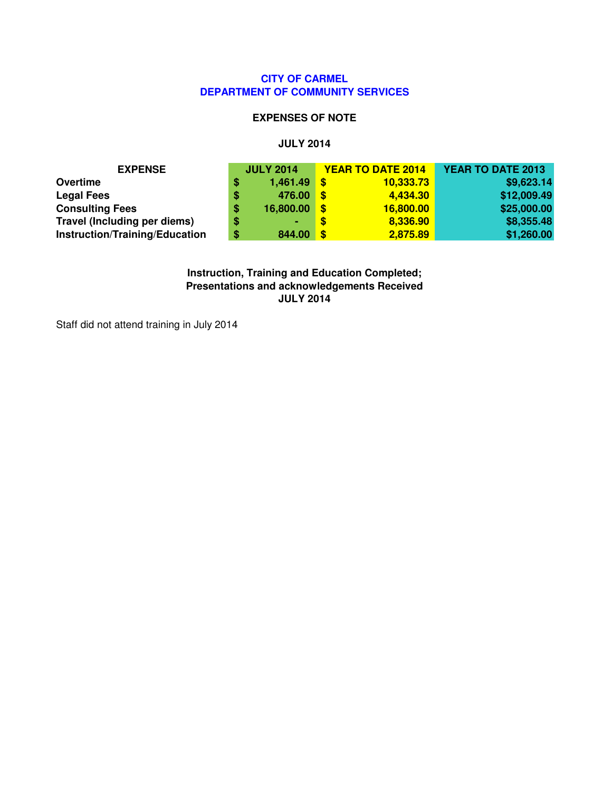### **CITY OF CARMEL DEPARTMENT OF COMMUNITY SERVICES**

#### **EXPENSES OF NOTE**

#### **JULY 2014**

| <b>EXPENSE</b>                 |   | <b>JULY 2014</b> |          | <b>YEAR TO DATE 2014</b> | YEAR TO DATE 2013 |
|--------------------------------|---|------------------|----------|--------------------------|-------------------|
| Overtime                       | S | 1,461.49         | - \$     | 10,333.73                | \$9,623.14        |
| <b>Legal Fees</b>              | S | 476.00           | <b>S</b> | 4,434.30                 | \$12,009.49       |
| <b>Consulting Fees</b>         |   | 16,800.00        | -\$      | 16,800.00                | \$25,000.00       |
| Travel (Including per diems)   |   | ۰.               | S        | 8,336.90                 | \$8,355.48        |
| Instruction/Training/Education | S | 844.00           | -\$      | 2,875.89                 | \$1,260.00        |

**Instruction, Training and Education Completed; Presentations and acknowledgements Received JULY 2014**

Staff did not attend training in July 2014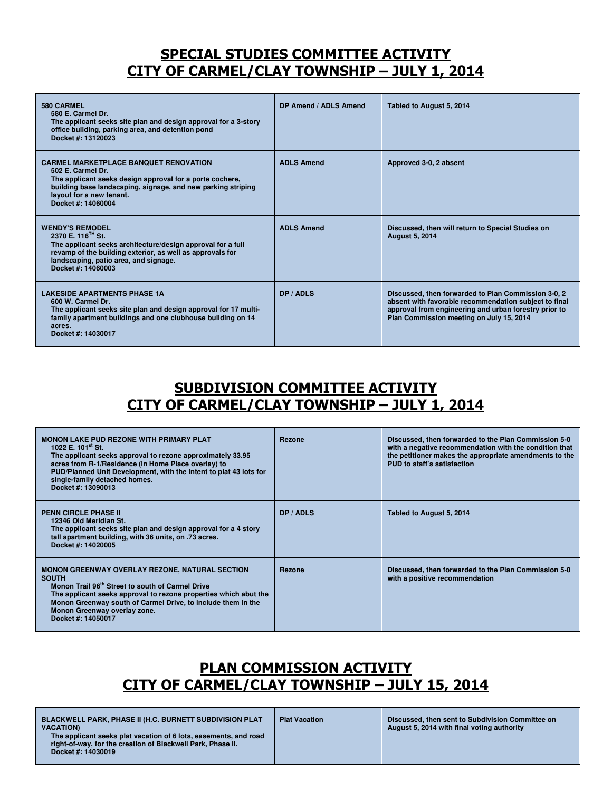## SPECIAL STUDIES COMMITTEE ACTIVITY CITY OF CARMEL/CLAY TOWNSHIP – JULY 1, 2014

| 580 CARMEL<br>580 E. Carmel Dr.<br>The applicant seeks site plan and design approval for a 3-story<br>office building, parking area, and detention pond<br>Docket #: 13120023                                                                     | DP Amend / ADLS Amend | Tabled to August 5, 2014                                                                                                                                                                                          |
|---------------------------------------------------------------------------------------------------------------------------------------------------------------------------------------------------------------------------------------------------|-----------------------|-------------------------------------------------------------------------------------------------------------------------------------------------------------------------------------------------------------------|
| <b>CARMEL MARKETPLACE BANQUET RENOVATION</b><br>502 E. Carmel Dr.<br>The applicant seeks design approval for a porte cochere,<br>building base landscaping, signage, and new parking striping<br>layout for a new tenant.<br>Docket #: 14060004   | <b>ADLS Amend</b>     | Approved 3-0, 2 absent                                                                                                                                                                                            |
| <b>WENDY'S REMODEL</b><br>2370 E. 116 <sup>™</sup> St.<br>The applicant seeks architecture/design approval for a full<br>revamp of the building exterior, as well as approvals for<br>landscaping, patio area, and signage.<br>Docket #: 14060003 | <b>ADLS Amend</b>     | Discussed, then will return to Special Studies on<br><b>August 5, 2014</b>                                                                                                                                        |
| <b>LAKESIDE APARTMENTS PHASE 1A</b><br>600 W. Carmel Dr.<br>The applicant seeks site plan and design approval for 17 multi-<br>family apartment buildings and one clubhouse building on 14<br>acres.<br>Docket #: 14030017                        | DP / ADLS             | Discussed, then forwarded to Plan Commission 3-0, 2<br>absent with favorable recommendation subject to final<br>approval from engineering and urban forestry prior to<br>Plan Commission meeting on July 15, 2014 |

### SUBDIVISION COMMITTEE ACTIVITY CITY OF CARMEL/CLAY TOWNSHIP – JULY 1, 2014

| <b>MONON LAKE PUD REZONE WITH PRIMARY PLAT</b><br>1022 E. $101^{st}$ St.<br>The applicant seeks approval to rezone approximately 33.95<br>acres from R-1/Residence (in Home Place overlay) to<br>PUD/Planned Unit Development, with the intent to plat 43 lots for<br>single-family detached homes.<br>Docket #: 13090013       | <b>Rezone</b> | Discussed, then forwarded to the Plan Commission 5-0<br>with a negative recommendation with the condition that<br>the petitioner makes the appropriate amendments to the<br>PUD to staff's satisfaction |
|---------------------------------------------------------------------------------------------------------------------------------------------------------------------------------------------------------------------------------------------------------------------------------------------------------------------------------|---------------|---------------------------------------------------------------------------------------------------------------------------------------------------------------------------------------------------------|
| <b>PENN CIRCLE PHASE II</b><br>12346 Old Meridian St.<br>The applicant seeks site plan and design approval for a 4 story<br>tall apartment building, with 36 units, on .73 acres.<br>Docket #: 14020005                                                                                                                         | DP / ADLS     | Tabled to August 5, 2014                                                                                                                                                                                |
| <b>MONON GREENWAY OVERLAY REZONE, NATURAL SECTION</b><br><b>SOUTH</b><br>Monon Trail 96 <sup>th</sup> Street to south of Carmel Drive<br>The applicant seeks approval to rezone properties which abut the<br>Monon Greenway south of Carmel Drive, to include them in the<br>Monon Greenway overlay zone.<br>Docket #: 14050017 | Rezone        | Discussed, then forwarded to the Plan Commission 5-0<br>with a positive recommendation                                                                                                                  |

## PLAN COMMISSION ACTIVITY CITY OF CARMEL/CLAY TOWNSHIP – JULY 15, 2014

| The applicant seeks plat vacation of 6 lots, easements, and road<br>right-of-way, for the creation of Blackwell Park, Phase II.<br>Docket #: 14030019 | <b>BLACKWELL PARK, PHASE II (H.C. BURNETT SUBDIVISION PLAT</b><br>Discussed, then sent to Subdivision Committee on<br><b>Plat Vacation</b><br>August 5, 2014 with final voting authority<br><b>VACATION)</b> |
|-------------------------------------------------------------------------------------------------------------------------------------------------------|--------------------------------------------------------------------------------------------------------------------------------------------------------------------------------------------------------------|
|-------------------------------------------------------------------------------------------------------------------------------------------------------|--------------------------------------------------------------------------------------------------------------------------------------------------------------------------------------------------------------|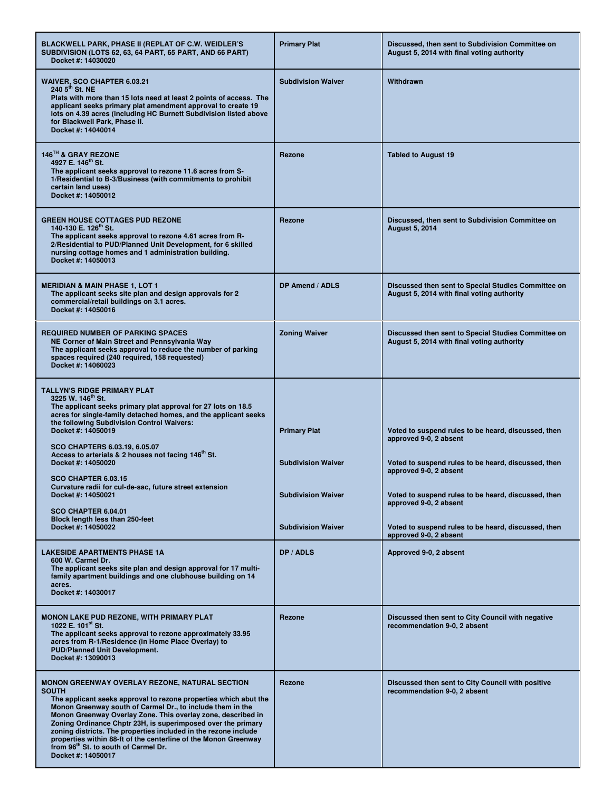| BLACKWELL PARK, PHASE II (REPLAT OF C.W. WEIDLER'S<br>SUBDIVISION (LOTS 62, 63, 64 PART, 65 PART, AND 66 PART)<br>Docket #: 14030020                                                                                                                                                                                                                                                                                                                                                                                                                    | <b>Primary Plat</b>                                                           | Discussed, then sent to Subdivision Committee on<br>August 5, 2014 with final voting authority                                                                                                                        |
|---------------------------------------------------------------------------------------------------------------------------------------------------------------------------------------------------------------------------------------------------------------------------------------------------------------------------------------------------------------------------------------------------------------------------------------------------------------------------------------------------------------------------------------------------------|-------------------------------------------------------------------------------|-----------------------------------------------------------------------------------------------------------------------------------------------------------------------------------------------------------------------|
| <b>WAIVER, SCO CHAPTER 6.03.21</b><br>240 5 <sup>th</sup> St. NE<br>Plats with more than 15 lots need at least 2 points of access. The<br>applicant seeks primary plat amendment approval to create 19<br>lots on 4.39 acres (including HC Burnett Subdivision listed above<br>for Blackwell Park, Phase II.<br>Docket #: 14040014                                                                                                                                                                                                                      | <b>Subdivision Waiver</b>                                                     | Withdrawn                                                                                                                                                                                                             |
| 146TH & GRAY REZONE<br>4927 E. 146 <sup>th</sup> St.<br>The applicant seeks approval to rezone 11.6 acres from S-<br>1/Residential to B-3/Business (with commitments to prohibit<br>certain land uses)<br>Docket #: 14050012                                                                                                                                                                                                                                                                                                                            | <b>Rezone</b>                                                                 | <b>Tabled to August 19</b>                                                                                                                                                                                            |
| <b>GREEN HOUSE COTTAGES PUD REZONE</b><br>140-130 E. 126 <sup>th</sup> St.<br>The applicant seeks approval to rezone 4.61 acres from R-<br>2/Residential to PUD/Planned Unit Development, for 6 skilled<br>nursing cottage homes and 1 administration building.<br>Docket #: 14050013                                                                                                                                                                                                                                                                   | Rezone                                                                        | Discussed, then sent to Subdivision Committee on<br><b>August 5, 2014</b>                                                                                                                                             |
| <b>MERIDIAN &amp; MAIN PHASE 1, LOT 1</b><br>The applicant seeks site plan and design approvals for 2<br>commercial/retail buildings on 3.1 acres.<br>Docket #: 14050016                                                                                                                                                                                                                                                                                                                                                                                | DP Amend / ADLS                                                               | Discussed then sent to Special Studies Committee on<br>August 5, 2014 with final voting authority                                                                                                                     |
| <b>REQUIRED NUMBER OF PARKING SPACES</b><br>NE Corner of Main Street and Pennsylvania Way<br>The applicant seeks approval to reduce the number of parking<br>spaces required (240 required, 158 requested)<br>Docket #: 14060023                                                                                                                                                                                                                                                                                                                        | <b>Zoning Waiver</b>                                                          | Discussed then sent to Special Studies Committee on<br>August 5, 2014 with final voting authority                                                                                                                     |
| <b>TALLYN'S RIDGE PRIMARY PLAT</b><br>3225 W. 146 <sup>th</sup> St.<br>The applicant seeks primary plat approval for 27 lots on 18.5<br>acres for single-family detached homes, and the applicant seeks<br>the following Subdivision Control Waivers:<br>Docket #: 14050019<br><b>SCO CHAPTERS 6.03.19, 6.05.07</b><br>Access to arterials & 2 houses not facing 146 <sup>th</sup> St.<br>Docket #: 14050020<br>SCO CHAPTER 6.03.15<br>Curvature radii for cul-de-sac, future street extension<br>Docket #: 14050021                                    | <b>Primary Plat</b><br><b>Subdivision Waiver</b><br><b>Subdivision Waiver</b> | Voted to suspend rules to be heard, discussed, then<br>approved 9-0, 2 absent<br>Voted to suspend rules to be heard, discussed, then<br>approved 9-0, 2 absent<br>Voted to suspend rules to be heard, discussed, then |
| SCO CHAPTER 6.04.01<br>Block length less than 250-feet<br>Docket #: 14050022                                                                                                                                                                                                                                                                                                                                                                                                                                                                            | <b>Subdivision Waiver</b>                                                     | approved 9-0, 2 absent<br>Voted to suspend rules to be heard, discussed, then<br>approved 9-0, 2 absent                                                                                                               |
| <b>LAKESIDE APARTMENTS PHASE 1A</b><br>600 W. Carmel Dr.<br>The applicant seeks site plan and design approval for 17 multi-<br>family apartment buildings and one clubhouse building on 14<br>acres.<br>Docket #: 14030017                                                                                                                                                                                                                                                                                                                              | DP / ADLS                                                                     | Approved 9-0, 2 absent                                                                                                                                                                                                |
| <b>MONON LAKE PUD REZONE, WITH PRIMARY PLAT</b><br>1022 E. $101^{st}$ St.<br>The applicant seeks approval to rezone approximately 33.95<br>acres from R-1/Residence (in Home Place Overlay) to<br><b>PUD/Planned Unit Development.</b><br>Docket #: 13090013                                                                                                                                                                                                                                                                                            | <b>Rezone</b>                                                                 | Discussed then sent to City Council with negative<br>recommendation 9-0, 2 absent                                                                                                                                     |
| <b>MONON GREENWAY OVERLAY REZONE, NATURAL SECTION</b><br><b>SOUTH</b><br>The applicant seeks approval to rezone properties which abut the<br>Monon Greenway south of Carmel Dr., to include them in the<br>Monon Greenway Overlay Zone. This overlay zone, described in<br>Zoning Ordinance Chptr 23H, is superimposed over the primary<br>zoning districts. The properties included in the rezone include<br>properties within 88-ft of the centerline of the Monon Greenway<br>from 96 <sup>th</sup> St. to south of Carmel Dr.<br>Docket #: 14050017 | Rezone                                                                        | Discussed then sent to City Council with positive<br>recommendation 9-0, 2 absent                                                                                                                                     |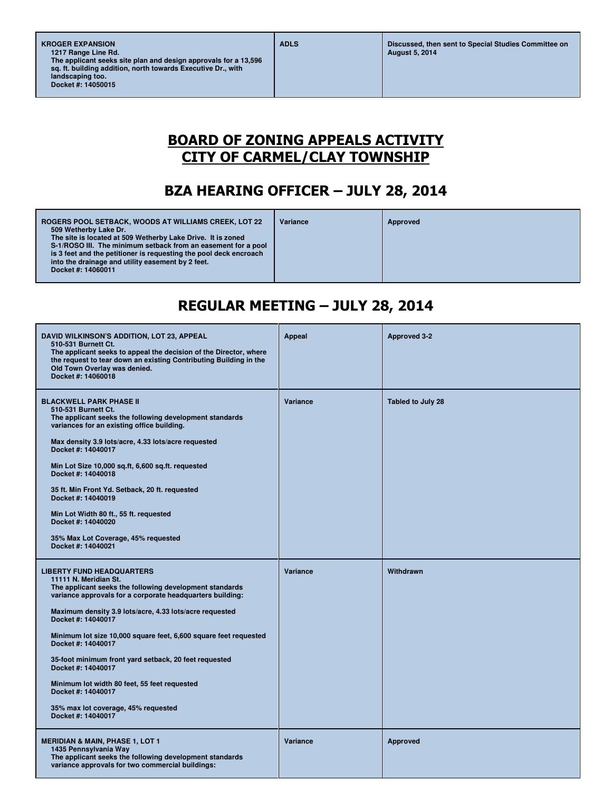## BOARD OF ZONING APPEALS ACTIVITY CITY OF CARMEL/CLAY TOWNSHIP

## BZA HEARING OFFICER – JULY 28, 2014

| <b>ROGERS POOL SETBACK, WOODS AT WILLIAMS CREEK, LOT 22</b><br>509 Wetherby Lake Dr.                                                                                                                                                                   | Variance | Approved |
|--------------------------------------------------------------------------------------------------------------------------------------------------------------------------------------------------------------------------------------------------------|----------|----------|
| The site is located at 509 Wetherby Lake Drive. It is zoned<br>S-1/ROSO III. The minimum setback from an easement for a pool<br>is 3 feet and the petitioner is requesting the pool deck encroach<br>into the drainage and utility easement by 2 feet. |          |          |
| Docket #: 14060011                                                                                                                                                                                                                                     |          |          |

## REGULAR MEETING – JULY 28, 2014

| DAVID WILKINSON'S ADDITION, LOT 23, APPEAL<br>510-531 Burnett Ct.<br>The applicant seeks to appeal the decision of the Director, where<br>the request to tear down an existing Contributing Building in the<br>Old Town Overlay was denied.<br>Docket #: 14060018                                                                                                                                                                                                                                                                                                              | <b>Appeal</b> | <b>Approved 3-2</b> |
|--------------------------------------------------------------------------------------------------------------------------------------------------------------------------------------------------------------------------------------------------------------------------------------------------------------------------------------------------------------------------------------------------------------------------------------------------------------------------------------------------------------------------------------------------------------------------------|---------------|---------------------|
| <b>BLACKWELL PARK PHASE II</b><br>510-531 Burnett Ct.<br>The applicant seeks the following development standards<br>variances for an existing office building.<br>Max density 3.9 lots/acre, 4.33 lots/acre requested<br>Docket #: 14040017<br>Min Lot Size 10,000 sq.ft, 6,600 sq.ft. requested<br>Docket #: 14040018<br>35 ft. Min Front Yd. Setback, 20 ft. requested<br>Docket #: 14040019<br>Min Lot Width 80 ft., 55 ft. requested<br>Docket #: 14040020<br>35% Max Lot Coverage, 45% requested<br>Docket #: 14040021                                                    | Variance      | Tabled to July 28   |
| <b>LIBERTY FUND HEADQUARTERS</b><br>11111 N. Meridian St.<br>The applicant seeks the following development standards<br>variance approvals for a corporate headquarters building:<br>Maximum density 3.9 lots/acre, 4.33 lots/acre requested<br>Docket #: 14040017<br>Minimum lot size 10,000 square feet, 6,600 square feet requested<br>Docket #: 14040017<br>35-foot minimum front yard setback, 20 feet requested<br>Docket #: 14040017<br>Minimum lot width 80 feet, 55 feet requested<br>Docket #: 14040017<br>35% max lot coverage, 45% requested<br>Docket #: 14040017 | Variance      | Withdrawn           |
| <b>MERIDIAN &amp; MAIN, PHASE 1, LOT 1</b><br>1435 Pennsylvania Way<br>The applicant seeks the following development standards<br>variance approvals for two commercial buildings:                                                                                                                                                                                                                                                                                                                                                                                             | Variance      | Approved            |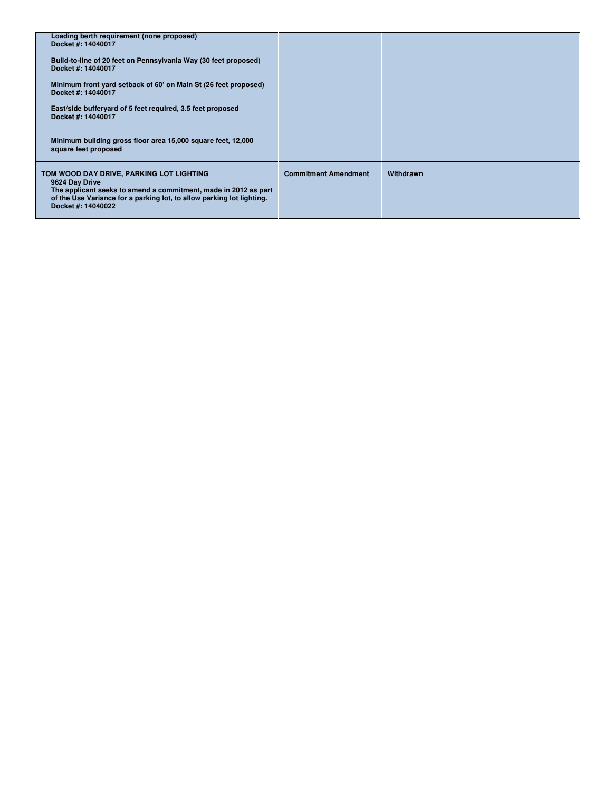| Loading berth requirement (none proposed)<br>Docket #: 14040017                                                                                                                                                              |                             |           |
|------------------------------------------------------------------------------------------------------------------------------------------------------------------------------------------------------------------------------|-----------------------------|-----------|
| Build-to-line of 20 feet on Pennsylvania Way (30 feet proposed)<br>Docket #: 14040017                                                                                                                                        |                             |           |
| Minimum front yard setback of 60' on Main St (26 feet proposed)<br>Docket #: 14040017                                                                                                                                        |                             |           |
| East/side bufferyard of 5 feet required, 3.5 feet proposed<br>Docket #: 14040017                                                                                                                                             |                             |           |
| Minimum building gross floor area 15,000 square feet, 12,000<br>square feet proposed                                                                                                                                         |                             |           |
| TOM WOOD DAY DRIVE, PARKING LOT LIGHTING<br>9624 Day Drive<br>The applicant seeks to amend a commitment, made in 2012 as part<br>of the Use Variance for a parking lot, to allow parking lot lighting.<br>Docket #: 14040022 | <b>Commitment Amendment</b> | Withdrawn |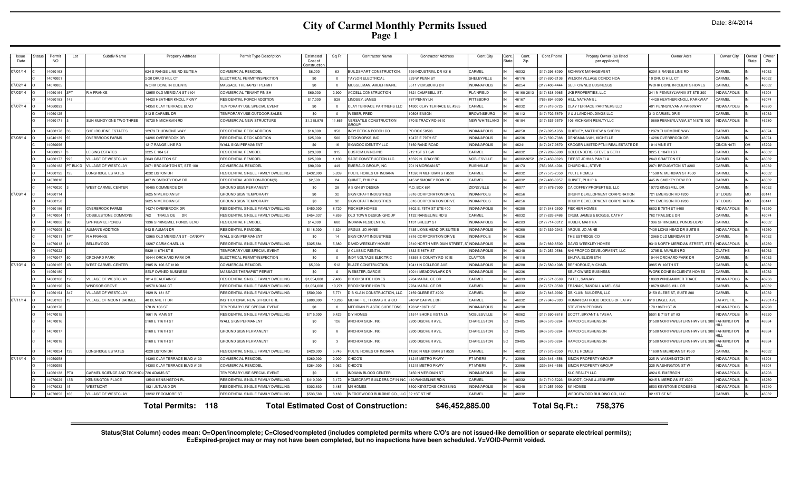| Issue<br>Date | Permi<br><b>NO</b> | Lot     | Subdiv Name                             | <b>Property Address</b>                           | Permit Type Description                            | Estimated<br>Cost of | Sq Ft        | <b>Contractor Name</b>                       | <b>Contractor Address</b>               | Cont.City             | Cont.<br>State | Cont.<br>Zip  | Cont.Phone                     | Propety Owner (as listed<br>per applicant)           | Owner Adrs                                     | Owner City          | Owner<br>State | Owne<br>Zip    |
|---------------|--------------------|---------|-----------------------------------------|---------------------------------------------------|----------------------------------------------------|----------------------|--------------|----------------------------------------------|-----------------------------------------|-----------------------|----------------|---------------|--------------------------------|------------------------------------------------------|------------------------------------------------|---------------------|----------------|----------------|
|               |                    |         |                                         |                                                   |                                                    | Constructio          |              |                                              |                                         |                       |                |               |                                |                                                      |                                                |                     |                |                |
| 07/01/14      | 4060163<br>407000  |         |                                         | 624 S RANGE LINE RD SUITE A<br>2-20 DRUID HILL CT | COMMERCIAL REMODEL<br>ELECTRICAL PERMIT/INSPECTION | \$6,000<br>\$0       | 63           | BUILDSMART CONSTRUCTION,<br>AYLOR ELECTRICAL | 599 INDUSTRIAL DR #316<br>329 W PENN ST | CARMEL<br>SHELBYVILLE |                | 46032<br>4617 | 317) 296-8090<br>317) 690-2136 | <b>MOHAWK MANAGEMENT</b><br>VILSON VILLAGE CONDO HOA | 620A S RANGE LINE RD<br><b>0 DRUID HILL CT</b> | CARMEL<br>CARMEL    |                | 46032<br>16032 |
| 07/02/14      | 4070005            |         |                                         | WORK DONE IN CLIENTS                              | MASSAGE THERAPIST PERMIT                           | \$0                  |              | MUSSELMAN, AMBER MARIE                       | 5511 VICKSBURG DF                       | <b>INDIANAPOLIS</b>   |                | 46254         | 317) 406-4444                  | <b>SELF OWNED BUSINESSS</b>                          | WORK DONE IN CLIENTS HOMES                     | CARMEL              |                | 16032          |
| 07/03/14      | 4060164            |         | <b>R A FRANKE</b>                       | 12955 OLD MERIDIAN ST #104                        | COMMERCIAL TENANT FINISH                           | \$60,000             | 2,900        | ACCELL CONSTRUCTION                          | 3621 CAMPBELL ST                        | PLAINFIELD            |                | 46168-2613    | 317) 838-9965                  | <b>KB PROPERTIES, LLC</b>                            | 241 N PENNSYLVANIA ST STE 300                  | NDIANAPOLIS         |                | 16204          |
|               | 4060183            | 143     |                                         | 14420 HEATHER KNOLL PKWY                          | RESIDENTIAL PORCH ADDITION                         | \$17,000             | 528          | LINDSEY, JAMES                               | 787 PENNY LN                            | PITTSBORO             |                | 46167         | 765) 894-9090                  | <b>IILL, NATHANIEI</b>                               | 4420 HEATHER KNOLL PARKWAY                     | CARMEL              |                | 46074          |
| 07/07/14      | 4060093            |         |                                         | 14350 CLAY TERRACE BLVD                           | TEMPORARY USE SPECIAL EVENT                        | \$0                  | $\Omega$     | CLAY TERRACE PARTNERS LLC                    | 14300 CLAY TERRACE BL #265              | CARMEL                |                | 46032         | 317) 818-0725                  | LAY TERRACE PARTNERS LLC                             | 401 PENNSYLVANIA PARKWAY                       | <b>INDIANAPOLIS</b> |                | 46280          |
|               | 4060125            |         |                                         | 313 E CARMEL DR                                   | TEMPORARY USE OUTDOOR SALES                        | \$0                  | $^{\circ}$   | WEBER, FRED                                  | 10508 EASON                             | <b>BROWNSBURG</b>     |                | 46112         | 317) 702-5879                  | / & J LAND HOLDINGS LLC                              | 313 CARMEL DR E                                | CARMEL              |                | 46032          |
|               | 4060171            |         | SUN MUNDY ONE TWO THREE                 | 10725 N MICHIGAN RD                               | COMMERCIAL NEW STRUCTURE                           | \$1,215,979          | 11.865       | VERSATILE CONSTRUCTION<br><b>SROLIP</b>      | 570 E TRACY RD #610                     | NEW WHITELAND         |                | 46184         | 317) 535-3579                  | 106 MICHIGAN REALTY LLC                              | 0689 PENNSYLVANIA ST N STE 100                 | <b>INDIANAPOLIS</b> |                | 16280          |
|               | 4060178            |         | SHELBOURNE ESTATES                      | 12979 THURMOND WAY                                | <b>RESIDENTIAL DECK ADDITION</b>                   | \$16,000             | 350          | INDY DECK & PORCH CO.                        | PO BOX 50506                            | <b>INDIANAPOLIS</b>   |                | 46250         | 317) 826-1956                  | <b>QUIGLEY, MATTHEW &amp; SHERYL</b>                 | 12979 THURMOND WAY                             | CARMEL              |                | 46074          |
| 07/08/14      | 14040139           |         | <b>OVERBROOK FARMS</b>                  | 14286 OVERBROOK DF                                | RESIDENTIAL DECK ADDITION                          | \$25,000             | 500          | DECKWORKS, INC                               | 10476 E 79TH ST                         | <b>INDIANAPOLIS</b>   |                | 46236         | 317) 590-7388                  | DENGMANIVAH, MICHELLE                                | 14286 OVERBROOK DF                             | CARMEL              |                | 46074          |
|               | 4060096            |         |                                         | 1217 RANGE LINE RD                                | <b>WALL SIGN PERMANENT</b>                         | \$0                  | 16           | SIGNDOC IDENTITY LLC                         | 3150 RAND ROAD                          | <b>INDIANAPOLIS</b>   |                | 46241         | 317) 247-9670                  | ROGER LIMITED PTN I REAL ESTATE DE                   | 014 VINE ST                                    | CINCINNATI          |                | 15202          |
|               | 4060097            |         | LEISING ESTATES                         | 3225 E 104 ST                                     | RESIDENTIAL REMODEL                                | \$23,000             | 315          | <b>CUSTOM LIVING INC</b>                     | 212 1ST ST SW                           | CARMEL                |                | 46032         | 317) 289-5990                  | <b>SOLDENBERG, STEVE &amp; BETH</b>                  | 3225 E 104TH ST                                | CARMEL              |                | 16032          |
|               | 4060177            |         | VILLAGE OF WESTCLAY                     | 2643 GRAFTON ST                                   | RESIDENTIAL REMODEL                                | \$25,000             | 1.100        | SAGE CONSTRUCTION LLC                        | 16529 N. GRAY RD                        | NOBLESVILLE           |                | 46062-9252    | 17) 450-0823                   | <b>IERST JOHN &amp; PAMELA</b>                       | <b>2643 GRAFTON ST</b>                         | CARMEL              |                | 16032          |
|               | 1060182            | T BLK D | ILLAGE OF WESTCLAY                      | 2071 BROUGHTON ST, STE 100                        | COMMERCIAL REMODEL                                 | \$90,000             | 449          | MERALD GROUP, INC                            | 701 N MORGAN ST                         | RUSHVILLE             |                | 46173         | '65) 938-4004                  | HURCHILL, STEVE                                      | 071 BROUGHTON ST #200                          | CARMEL              |                | 16032          |
|               | 4060192            |         | ONGRIDGE ESTATES                        | 4232 LISTON DR                                    | RESIDENTIAL SINGLE FAMILY DWELLING                 | \$432,000            | 5,839        | PULTE HOMES OF INDIANA                       | 1590 N MERIDIAN ST #530                 | CARMEL                |                | 46032         | 317) 575-2350                  | ULTE HOMES                                           | 1590 N. MERIDIAN ST #530                       | CARMEL              |                | 16032          |
|               | 4070010            |         |                                         | 407 W SMOKEY ROW RD                               | RESIDENTIAL ADDITION-ROOM(S                        | \$2,500              | 24           | QUINET, PHILIP A                             | 445 W SMOKEY ROW RD                     | CARMEL                |                | 46032         | 317) 408-0057                  | QUINET, PHILIP A                                     | 445 W SMOKEY ROW RD                            | CARMEL              |                | 16032          |
|               | 4070020            |         | <b>WEST CARMEL CENTER</b>               | 10485 COMMERCE DR                                 | GROUND SIGN PERMANENT                              | \$0                  | 28           | <b>I SIGN BY DESIGN</b>                      | P.O. BOX 691                            | ZIONSVILLE            |                | 4607          | 317) 876-7900                  | A COFFEY PROPERTIES, LLC                             | 0772 KINGSMILL DF                              | CARMEL              |                | 16032          |
| 07/09/14      | 406011             |         |                                         | 9625 N MERIDIAN ST                                | <b>GROUND SIGN TEMPORARY</b>                       | \$0                  | 32           | <b>SIGN CRAFT INDUSTRIES</b>                 | 8816 CORPORATION DRIVE                  | <b>INDIANPOLIS</b>    |                | 46256         |                                | DRURY DEVELOPMENT CORPORATION                        | 721 EMERSON RD #200                            | <b>ST LOUIS</b>     | <b>MO</b>      | 63141          |
|               | 4060158            |         |                                         | 9625 N MERIDIAN ST                                | <b>GROUND SIGN TEMPORARY</b>                       | \$0                  | 32           | <b>SIGN CRAFT INDUSTRIES</b>                 | 8816 CORPORATION DRIVE                  | <b>INDIANPOLIS</b>    |                | 46256         |                                | DRURY DEVELOPMENT CORPORATION                        | 721 EMERSON RD #200                            | ST LOUIS            | MO             | 63141          |
|               | 4060186            |         | <b>OVERBROOK FARMS</b>                  | 14274 OVERBROOK DF                                | RESIDENTIAL SINGLE FAMILY DWELLING                 | \$450,000            | 8,720        | <b>FISCHER HOMES</b>                         | 6602 E. 75TH ST STE 400                 | <b>INDIANAPOLIS</b>   |                | 46250         | 317) 348-2500                  | <b>ISCHER HOMES</b>                                  | 602 E 75TH ST #400                             | <b>INDIANAPOLIS</b> |                | 16250          |
|               | 4070004            |         | COBBLESTONE COMMONS                     | 762<br>TRAILSIDE DR                               | RESIDENTIAL SINGLE FAMILY DWELLING                 | \$454,037            | 4,859        | OLD TOWN DESIGN GROUP                        | 1132 RANGELINE RD S                     | CARMEL                |                | 46032         | 317) 626-8486                  | RUM, JAMES & BOGGS, CATHY                            | 762 TRAILSIDE DR                               | CARMEL              |                | 46074          |
|               | 4070008            |         | SPRINGMILL PONDS                        | 1396 SPRINGMILL PONDS BLVD                        | RESIDENTIAL REMODEL                                | \$14,000             | 680          | <b>INDIANA RESIDENTIAL</b>                   | 1131 SHELBY ST                          | <b>INDIANAPOLIS</b>   |                | 46203         | 317) 714-0012                  | <b>HUBER, MARTHA</b>                                 | 1396 SPRINGMILL PONDS BLVD                     | CARMEL              |                | 46032          |
|               | 4070009            |         | <b>AUMAN'S ADDITION</b>                 | 942 E AUMAN DR                                    | RESIDENTIAL REMODEL                                | \$118,000            | 1,324        | ARGUS, JO ANNE                               | 7435 LIONS HEAD DR SUITE B              | <b>INDIANAPOLIS</b>   |                | 46260         | 317) 339-2943                  | ARGUS, JO ANNE                                       | 7435 LIONS HEAD DR SUITE F                     | <b>INDIANAPOLIS</b> |                | 16260          |
|               | 4070011            |         | <b>R A FRANKE</b>                       | 12965 OLD MERIDIAN ST - CANOPY                    | <b>WALL SIGN PERMANENT</b>                         | \$0                  | 14           | <b>SIGN CRAFT INDUSTRIES</b>                 | 8816 CORPORATION DRIVE                  | <b>INDIANPOLIS</b>    |                | 46256         |                                | HE ESTRIDGE CO                                       | 2965 OLD MERIDIAN ST                           | CARMEL              |                | 16032          |
|               | 4070013            |         | <b>BELLEWOOD</b>                        | 13267 CARMICHAEL LN                               | RESIDENTIAL SINGLE FAMILY DWELLING                 | \$325,684            | 5,380        | <b>DAVID WEEKLEY HOMES</b>                   | 9310 NORTH MERIDIAN STREET              | <b>INDIANAPOLIS</b>   |                | 46260         | 17) 669-8500                   | <b>DAVID WEEKLEY HOMES</b>                           | 310 NORTH MERIDIAN STREET, STI                 | <b>INDIANAPOLIS</b> |                | 16260          |
|               | 1070022            |         |                                         | 5829 116TH ST E                                   | <b><i>TEMPORARY USE SPECIAL EVENT</i></b>          | \$0                  |              | <b>CLASSIC RENTAL</b>                        | 1333 E 86TH ST                          | NDIANAPOLIS           |                | 46240         | 317) 253-0586                  | HI PROPCO DEVELOPMENT, LLC                           | 3795 S. MURLEN RD                              | OLATHE              |                | 6062           |
|               | 4070047            |         | ORCHARD PARK                            | 10444 ORCHARD PARK DR                             | ELECTRICAL PERMIT/INSPECTION                       | \$0                  |              | <b>INDY VOLTAGE ELECTRIC</b>                 | 33393 S COUNTY RD 101                   | CLAYTON               |                | 46118         |                                | HUYA, ELIZABETH                                      | 0444 ORCHARD PARK DF                           | CARMEI              |                | 16032          |
| 07/10/14      | 4060165            |         | <b>WEST CARMEL CENTER</b>               | 3985 W 106 ST #100                                | COMMERCIAL REMODE                                  | \$5,000              | 512          | <b>BLAZE CONSTRUCTION</b>                    | 10411 N COLLEGE AVE                     | <b>INDIANAPOLIS</b>   |                | 46280         | 317) 580-1008                  | BEFHOROUZ, MICHAE                                    | 3985 W 106TH ST                                | CARMEL              |                | 16032          |
|               | 406018             |         |                                         | <b>SELF OWNED BUSINESS</b>                        | MASSAGE THERAPIST PERMIT                           | - \$0                |              | <b>WEBSTER, DARCIE</b>                       | 10014 MEADOWLARK DR                     | <b>INDIANAPOLIS</b>   |                | 46236         |                                | SELF OWNED BUSINESS                                  | WORK DONE IN CLIENTS HOMES                     | CARMEL              |                | 16032          |
|               | 4060188            | 95      | VILLAGE OF WESTCLAY                     | 1814 BEAUFAIN ST                                  | RESIDENTIAL SINGLE FAMILY DWELLING                 | \$1,054,000          | 7.408        | <b>BROOKSHIRE HOMES</b>                      | 2764 MARALICE DF                        | CARMEL                |                | 46033         | 317) 571-0569                  | PATEL, SANJAY                                        | 0999 WINDJAMMER TRACE                          | <b>INDIANAPOLIS</b> |                | 16256          |
|               | 4060190            |         | WINDSOR GROVE                           | 10570 NOMA CT                                     | RESIDENTIAL SINGLE FAMILY DWELLING                 | \$1,054,000          | 10.271       | <b>BROOKSHIRE HOMES</b>                      | 2764 MARALICE DF                        | CARMEL                |                | 46033         | 317) 571-0569                  | RANIAK, RANDALL & MELISSA                            | 0679 KINGS MILL DR                             | CARMEL              |                | 16032          |
|               | 4060194            |         | VILLAGE OF WESTCLAY                     | 1929 W 131 ST                                     | <b>RESIDENTIAL SINGLE FAMILY DWELLING</b>          | \$500,000            | 5.771        | D B KLAIN CONSTRUCTION, LLC                  | 2159 GLEBE ST #200                      | CARMEL                |                | 46032         | 317) 846-9992                  | <b>B KLAIN BUILDERS, LLC</b>                         | 2159 GLEBE ST. SUITE 200                       | CARMEL              |                | 46032          |
| 07/11/14      | 4050103            |         | VILLAGE OF MOUNT CARMEL                 | 40 BENNETT DR                                     | <b>INSTITUTIONAL NEW STRUCTURE</b>                 | \$800,000            | 10,266       | MCHAFFIE, THOMAS R. & CO                     | 240 W CARMEL DR                         | CARMEL                |                | 46032         | 317) 848-7003                  | ROMAN CATHOLIC DIOCES OF LAFAY                       | 610 LINGLE AVE                                 | LAFAYETTE           |                | 17901-1        |
|               | 4060170            |         |                                         | 170 W 106 ST                                      | TEMPORARY USE SPECIAL EVENT                        | \$0                  | $\Omega$     | <b>MERIDIAN PLASTIC SURGEONS</b>             | 170 W 106TH ST                          | <b>INDIANAPOLIS</b>   |                | 46290         |                                | <b>STEVEN M PERKINS</b>                              | 170 106TH ST W                                 | <b>INDIANAPOLIS</b> |                | 46290          |
|               | 4070015            |         |                                         | 1661 W MAIN ST                                    | RESIDENTIAL SINGLE FAMILY DWELLING                 | \$715,000            | 9.423        | DIY HOMES                                    | 21514 SHORE VISTA LN                    | NOBLESVILLE           |                | 46062         | 317) 590-8818                  | <b>SCOTT, BRYANT &amp; TASHA</b>                     | 5501 E 71ST ST #3                              | <b>INDIANAPOLIS</b> |                | 16220          |
|               | 4070016            |         |                                         | 2160 E 116TH ST                                   | <b>WALL SIGN PERMANENT</b>                         | \$0                  | 126          | ANCHOR SIGN, INC.                            | 2200 DISCHER AVE                        | CHARLESTON            | C.             | 29405         | 843) 576-3264                  | RAMCO GERSHENSON                                     | 1500 NORTHWESTERN HWY STE 300 FARMINGTON       |                     |                | 18334          |
|               | 4070017            |         |                                         | 2160 E 116TH ST                                   | <b>GROUND SIGN PERMANENT</b>                       | \$0                  | -8           | ANCHOR SIGN, INC.                            | 2200 DISCHER AVE                        | CHARLESTON            |                | 29405         | 843) 576-3264                  | RAMCO GERSHENSON                                     | 31500 NORTHWESTERN HWY STE 300 FARMINGTON      |                     |                | 48334          |
|               | 4070018            |         |                                         | 2160 E 116TH ST                                   | <b>GROUND SIGN PERMANENT</b>                       | \$0                  | $\mathbf{3}$ | ANCHOR SIGN, INC.                            | 2200 DISCHER AVE                        | CHARLESTON            |                | 29405         | 843) 576-3264                  | RAMCO GERSHENSON                                     | 1500 NORTHWESTERN HWY STE 300 FARMINGTON       | HII 1               |                | 48334          |
|               | 4070024            |         | ONGRIDGE ESTATES                        | 4220 LISTON DR                                    | RESIDENTIAL SINGLE FAMILY DWELLING                 | \$420,000            | 5,745        | PULTE HOMES OF INDIANA                       | 11590 N MERIDIAN ST #530                | CARMEL                |                | 46032         | 317) 575-2350                  | ULTE HOMES                                           | 1690 N MERIDIAN ST #530                        | CARMEL              |                | 16032          |
| 07/14/14      | 4050058            |         |                                         | 14390 CLAY TERRACE BLVD #130                      | <b>COMMERCIAL REMODEL</b>                          | \$260,000            | 2.000        | CHICO'S                                      | 11215 METRO PKWY                        | FT MYERS              |                | 33966         | 239) 346-4556                  | <b>IMON PROPERTY GROUP</b>                           | 225 W WASHINGTON ST                            | <b>INDIANAPOLIS</b> |                | 16204          |
|               | 405005             |         |                                         | 14300 CLAY TERRACE BLVD #135                      | COMMERCIAL REMODE                                  | \$264,000            | 3,062        | CHICO'S                                      | 11215 METRO PKWY                        | FT MYERS              |                | 33966         | 239) 346-4556                  | <b>SIMON PROPERTY GROUP</b>                          | 225 WASHINGTON ST W                            | <b>INDIANAPOLIS</b> |                | 46204          |
|               | 4060138            | ነፐና     | CARMEL SCIENCE AND TECHNOL 726 ADAMS ST |                                                   | TEMPORARY USE SPECIAL EVENT                        | \$0                  |              | <b>INDIANA BLOOD CENTER</b>                  | 3450 N MERIDIAN ST                      | <b>INDIANAPOLIS</b>   |                | 46208         |                                | KLC REALTY LLC                                       | 4924 S. EMERSON                                | <b>INDIANAPOLIS</b> |                | 46203          |
|               | 4070029            | 3B      | <b>KENSINGTON PLACE</b>                 | 13540 KENSINGTON PI                               | RESIDENTIAL SINGLE FAMILY DWELLING                 | \$410,000            | 3,172        | HOMECRAFT BUILDERS OF IN IN                  | 410 RANGELINE RD N                      | CARMEL                |                | 46032         | 317) 710-5223                  | SKJODT, CHAS & JENNIFER                              | 245 N MERIDIAN ST #300                         | <b>INDIANAPOLIS</b> |                | 46260          |
|               | 4070032            |         | WESTMONT                                | 1821 JUTLAND DR                                   | RESIDENTIAL SINGLE FAMILY DWELLING                 | \$302,830            | 3.485        | M/I HOMES                                    | 8500 KEYSTONE CROSSING                  | <b>INDIANAPOLIS</b>   |                | 46240         | 317) 255-9900                  | M/I HOMES                                            | 8500 KEYSTONE CROSSING                         | <b>INDIANAPOLIS</b> |                | 16240          |
|               | 1070052            |         | ILLAGE OF WESTCLAY                      | 13232 FROGMORE ST                                 | RESIDENTIAL SINGLE FAMILY DWELLING                 | \$533,560            | 8,160        | WEDGEWOOD BUILDING CO., LLC 32 1ST ST NE     |                                         | CARMEL                |                | 46032         |                                | <b>NEDGEWOOD BUILDING CO., LLC</b>                   | 32 1ST ST NE                                   | CARMEL              |                | 16032          |
|               |                    |         |                                         | <b>Total Permits: 118</b>                         |                                                    |                      |              | <b>Total Estimated Cost of Construction:</b> | \$46,452,885.00                         |                       |                |               | Total Sq.Ft.:                  | 758,376                                              |                                                |                     |                |                |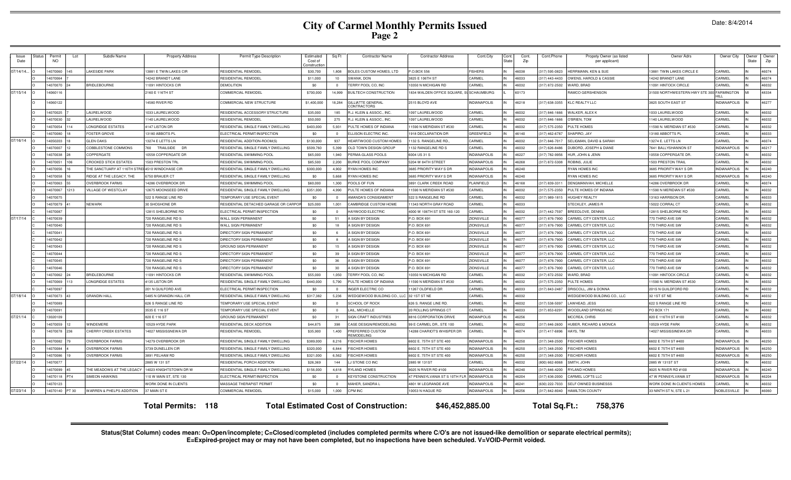| Issue<br>Date | Permit<br>NO.             | Lot<br>Subdiv Name                       | <b>Property Address</b>               | Permit Type Description                          | Estimated<br>Cost of<br>anstructio | Sq Ft          | <b>Contractor Name</b>                       | <b>Contractor Address</b>                                     | Cont.City           | Cont<br>Stati | Cont.<br>Zip   | Cont.Phone                      | Propety Owner (as listed<br>per applicant)  | Owner Adrs                               | Owner City                   | )wner<br>State | Owner<br>Zip   |
|---------------|---------------------------|------------------------------------------|---------------------------------------|--------------------------------------------------|------------------------------------|----------------|----------------------------------------------|---------------------------------------------------------------|---------------------|---------------|----------------|---------------------------------|---------------------------------------------|------------------------------------------|------------------------------|----------------|----------------|
| 07/14/14.     | 4070060                   | <b>AKESIDE PARK</b>                      | 3881 E TWIN LAKES CIR                 | RESIDENTIAL REMODEI                              | \$30,700                           | 1,808          | BOLES CUSTOM HOMES, LTD                      | P.O.BOX 556                                                   | <b>ISHERS</b>       |               | 16038          | 317) 595-0823                   | <b>IERRMANN, KEN &amp; SUE</b>              | 13881 TWIN LAKES CIRCLE E                | CARMEL                       |                | 46074          |
|               | 4070064                   |                                          | 4242 BRANDT LANE                      | RESIDENTIAL REMODEI                              | \$11,000                           | 10             | WANK, DON                                    | 825 E 106TH ST                                                | CARMEL              |               | 6033           | 317) 443-4433                   | WENS, HAROLD & CASSI                        | 14242 BRANDT LANE                        | CARMEL                       |                | 46074          |
|               | 4070070                   | <b>BRIDLEBOURNE</b>                      | 1091 HINTOCKS CIF                     | DEMOLITION                                       | \$0                                | $\Omega$       | <b>FERRY POOL CO. INC</b>                    | 0350 N MICHIGAN RD                                            | CARMEL              |               | 46032          | 317) 872-2502                   | <b>NARD, BRAC</b>                           | 11091 HINTOCK CIRCLE                     | CARMEL                       |                | 46032          |
| 07/15/14      | 4060116                   |                                          | 160 E 116TH ST                        | COMMERCIAL REMODEL                               | \$700,000                          | 14,999         | BUILTECH CONSTRUCTION                        | 1834 WALDEN OFFICE SQUARE,                                    | <b>SCHAUMBURG</b>   |               | 60173          |                                 | RAMCO GERSHENSON                            | 31500 NORTHWESTERN HWY STE 3             | 0 <b>FARMINGTON</b><br>HILL. |                | 48334          |
|               | 4060122                   |                                          | 4580 RIVER RD                         | COMMERCIAL NEW STRUCTURE                         | \$1,400,000                        | 18,284         | <b>GILLIATTE GENERAL</b><br>ONTRACTORS       | 2515 BLOYD AVE                                                | <b>NDIANAPOLIS</b>  |               | 46218          | (317) 638-3355                  | KLC REALTY LLC                              | 3825 SOUTH EAST ST                       | <b>INDIANAPOLIS</b>          |                | 46277          |
|               | 4070025                   | AURELWOOD                                | 033 LAURELWOOD                        | RESIDENTIAL ACCESSORY STRUCTURE                  | \$35,000                           | 185            | <b>J. KLEIN &amp; ASSOC., INC.</b>           | 097 LAURELWOOD                                                | CARMEL              |               | 46032          | 317) 846-1666                   | WALKER, ALEX K                              | 1033 LAURELWOOD                          | CARMEL                       |                | 46032          |
|               | 4070030                   | AURELWOOD                                | 140 LAURELWOOD                        | RESIDENTIAL REMODEI                              | \$50,000                           | 275            | J. KLEIN & ASSOC., INC                       | 097 LAURELWOOD                                                | CARMEL              |               | 6032           | 317) 846-1666                   | <b>'BRIEN, TOM</b>                          | 140 LAURELWOOD                           | CARMEL                       |                | 46032          |
|               | 4070054                   | ONGRIDGE ESTATES                         | 147 LISTON DR                         | RESIDENTIAL SINGLE FAMILY DWELLING               | \$403,000                          | 5,931          | ULTE HOMES OF INDIANA                        | 1590 N MERIDIAN ST #530                                       | CARMEL              |               | 6032           | 317) 575-2350                   | ULTE HOMES                                  | 11590 N. MERIDIAN ST #530                | CARMEL                       |                | 46032          |
|               | 4070080                   | <b>FOSTER GROVE</b>                      | 3180 ABBOTS P                         | ELECTRICAL PERMIT/INSPECTION                     | \$0                                |                | <b>ELLISON ELECTRIC INC</b>                  | 1918 DECLARATION DR                                           | GREENFIELD          |               | 46140          | (317) 462-6787                  | HAPIRO, JAY                                 | 13180 ABBOTTS PL                         | CARMEL                       |                | 46033          |
| 07/16/14      | 4050203                   | <b>GLEN OAKS</b>                         | 3274 E LETTS LN                       | RESIDENTIAL ADDITION-ROOM(S                      | \$130,000                          | 937            | <b>HEARTWOOD CUSTOM HOMES</b>                | 132 S. RANGELINE RD.                                          | CARMEL              |               | 46032          | (317) 846-7017                  | ELIGMAN, DAVID & SARAH                      | 13274 E. LETTS LN                        | CARMEL                       |                | 46074          |
|               | 4070007                   | COBBLESTONE COMMONS                      | 760<br>TRAILSIDE<br>DF                | RESIDENTIAL SINGLE FAMILY DWELLING               | \$509,760                          | 5,399          | OLD TOWN DESIGN GROUP                        | 132 RANGELINE RD S                                            | CARMEL              |               | 46032          | (317) 626-8486                  | UBORD, JOSEPH & DIANE                       | 7641 BALLYSHANNON ST                     | <b>INDIANAPOLIS</b>          |                | 46217          |
|               | 4070038                   | COPPERGATE                               | 0558 COPPERGATE DR                    | RESIDENTIAL SWIMMING POOL                        | \$65,000                           | 1.940          | ERMA-GLASS POOLS                             | 6004 US 31 S                                                  | <b>INDIANAPOLIS</b> |               | 46227          | (317) 782-9956                  | <b>HUR. JOHN &amp; JENN</b>                 | 10558 COPPERGATE DR                      | CARMEL                       |                | 46032          |
|               | 4070051                   | <b>CROOKED STICK ESTATES</b>             | 503 PRESTON TRI                       | RESIDENTIAL SWIMMING POOL                        | \$85,500                           | 2,200          | URKE POOL COMPANY                            | 5204 W 84TH STREET                                            | <b>INDIANAPOLIS</b> |               | 46268          | 317) 872-5308                   | <b>OBINS, JULIE</b>                         | 1503 PRESTON TRAI                        | CARMEL                       |                | 46032          |
|               | 4070056                   | THE SANCTUARY AT 116TH STRI              | <b>4510 WINDCHASE CIR</b>             | RESIDENTIAL SINGLE FAMILY DWELLING               | \$300,000                          | 4,902          | YAN HOMES INC                                | 3685 PRIORITY WAYS DR                                         | <b>INDIANAPOLIS</b> |               | 46240          |                                 | <b>RYAN HOMES INC</b>                       | 3685 PRIORITY WAYSDR                     | <b>INDIANAPOLIS</b>          |                | 46240          |
|               | 4070058                   | RIDGE AT THE LEGACY, THE                 | 750 BRAUER CT                         | RESIDENTIAL SINGLE FAMILY DWELLING               | \$0                                | 5.668          | YAN HOMES INC                                | 3685 PRIORITY WAYS DF                                         | <b>INDIANAPOLIS</b> |               | 46240          |                                 | RYAN HOMES INC                              | 3685 PRIORITY WAYSDR                     | <b>INDIANAPOLIS</b>          |                | 46240          |
|               | 4070063                   | <b>OVERBROOK FARMS</b>                   | 4286 OVERBROOK DR                     | RESIDENTIAL SWIMMING POOL                        | \$60,000                           | 1.300          | OOLS OF FUN                                  | <b>8891 CLARK CREEK ROAD</b>                                  | PLAINFIELD          |               | 46168          | 317) 839-3311                   | DENGMANIVAH, MICHELLE                       | 14286 OVERBROOK DR                       | CARMEL                       |                | 46074          |
|               | 4070067<br>213            | <b>ILLAGE OF WESTCLAY</b>                | 2675 MOONSEED DRIVE                   | RESIDENTIAL SINGLE FAMILY DWELLING               | \$351,000                          | 4.990          | ULTE HOMES OF INDIANA                        | 1590 N MERIDIAN ST #530                                       | CARMEL              |               | 46032          | 317) 575-2350                   | ULTE HOMES OF INDIANA                       | 11590 N MERIDIAN ST #530                 | CARMEL                       |                | 46032          |
|               | 4070075                   |                                          | <b>22 S RANGE LINE RD</b>             | <b>TEMPORARY USE SPECIAL EVENT</b>               | \$0                                | $\Omega$       | <b>MANDA'S CONSIGNMENT</b>                   | <b>522 S RANGELINE RD</b>                                     | CARMEL              |               | 16032          | 317) 989-1815                   | <b>IUGHEY REALTY</b>                        | 13163 HARRISON DF                        | CARMEL                       |                | 46033          |
|               | 4070079                   | NEWARK                                   | <b>30 SHOSHONE DR</b>                 | RESIDENTIAL DETACHED GARAGE OR CARP              | \$25,000                           | 1.001          | <b>AMBRIDGE CUSTOM HOME</b>                  | 1343 NORTH GRAY ROAD                                          | CARMEL              |               | 8033           |                                 | <b>TECKLEY, JAMES F</b>                     | 15022 CORRAL CT                          | CARMEL                       |                | 46032          |
|               | 4070087                   |                                          | 2815 SHELBORNE RD                     | ELECTRICAL PERMIT/INSPECTION                     | \$0                                | $\Omega$       | <b>HAYWOOD ELECTRIC</b>                      | 4000 W 106TH ST STE 160-120                                   | CARMEL              |               | 46032          | (317) 442-7597                  | BREEDLOVE, DENNIS                           | 12815 SHELBORNE RD                       | CARMEL                       |                | 46032          |
| 07/17/14      | 4070039                   |                                          | 20 RANGELINE RD S                     | WALL SIGN PERMANENT                              | \$0                                | 51             | SIGN BY DESIGN                               | P.O. BOX 691                                                  | ZIONSVILLE          |               | 46077          | (317) 876-7900                  | ARMEL CITY CENTER, LLC                      | 770 THIRD AVE SW                         | CARMEL                       |                | 46032          |
|               | 4070040                   |                                          | 720 RANGELINE RD S                    | WALL SIGN PERMANENT                              | \$0                                | 18             | A SIGN BY DESIGN                             | P.O. BOX 691                                                  | <b>ZIONSVILLE</b>   |               | 46077          | (317) 876-7900                  | CARMEL CITY CENTER, LLC                     | 770 THIRD AVE SW                         | CARMEL                       |                | 46032          |
|               | 4070041                   |                                          | 20 RANGELINE RD S                     | DIRECTORY SIGN PERMANENT                         | \$0                                | -6             | <b>SIGN BY DESIGN</b>                        | P.O. BOX 691                                                  | ZIONSVILLE          |               | 46077          | (317) 876-7900                  | CARMEL CITY CENTER, LLC                     | 770 THIRD AVE SW                         | CARMEL                       |                | 46032          |
|               | 4070042                   |                                          | 720 RANGELINE RD 9                    | DIRECTORY SIGN PERMANEN'                         | \$0                                | $\mathbf{8}$   | <b>I SIGN BY DESIGN</b>                      | P.O. BOX 691                                                  | <b>ZIONSVILLE</b>   |               | 46077          | (317) 876-7900                  | <b>ARMEL CITY CENTER LLC</b>                | 770 THIRD AVE SW                         | CARMEL                       |                | 46032          |
|               | 4070043                   |                                          | 720 RANGELINE RD S                    | <b>GROUND SIGN PERMANENT</b>                     | \$0                                | 15             | A SIGN BY DESIGN                             | P.O. BOX 691                                                  | ZIONSVILLE          |               | 46077          | (317) 876-7900                  | CARMEL CITY CENTER, LLC                     | 770 THIRD AVE SW                         | CARMEL                       |                | 46032          |
|               | 4070044                   |                                          | 720 RANGELINE RD S                    | DIRECTORY SIGN PERMANEN'                         | \$0                                | 39             | A SIGN BY DESIGN                             | P.O. BOX 691                                                  | <b>ZIONSVILLE</b>   |               | 46077          | (317) 876-7900                  | CARMEL CITY CENTER, LLC                     | 770 THIRD AVE SW                         | CARMEL                       |                | 46032          |
|               | 4070045                   |                                          | 720 RANGELINE RD S                    | DIRECTORY SIGN PERMANENT                         | \$0                                | 36             | <b>SIGN BY DESIGN</b>                        | P.O. BOX 691                                                  | ZIONSVILLE          |               | 46077          | (317) 876-7900                  | CARMEL CITY CENTER, LLC                     | 770 THIRD AVE SW                         | CARMEL                       |                | 46032          |
|               | 4070046                   |                                          | 20 RANGELINE RD S                     | DIRECTORY SIGN PERMANENT                         | \$0                                | 30             | <b>SIGN BY DESIGN</b>                        | P.O. BOX 691                                                  | ZIONSVILLE          |               | 6077           | 317) 876-7900                   | CARMEL CITY CENTER, LLC                     | 770 THIRD AVE SW                         | CARMEL                       |                | 46032          |
|               | 4070062                   | RIDLEBOURNE                              | 1091 HINTOCKS CIR                     | RESIDENTIAL SWIMMING POOL                        | \$55,000                           | 1,050          | ERRY POOL CO, INC                            | 0350 N MICHIGAN RD                                            | CARMEL              |               | 6032           | 317) 872-2502                   | <b>NARD, BRAD</b>                           | 11091 HINTOCK CIRCLE                     | CARMEL                       |                | 46032          |
|               | 4070069                   | ONGRIDGE ESTATES                         | 135 LISTON DR                         | RESIDENTIAL SINGLE FAMILY DWELLING               | \$440,000                          | 5.790          | <b>PULTE HOMES OF INDIANA</b>                | 1590 N MERIDIAN ST #530                                       | CARMEL              |               |                | 317) 575-2350                   | ULTE HOMES                                  | 11590 N. MERIDIAN ST #530                | CARMEL                       |                | 46032          |
|               | 4070097                   |                                          | 201 N GUILFORD AVE                    | ELECTRICAL PERMIT/INSPECTION                     | \$0                                |                | <b>NGER ELECTRIC CC</b>                      | 1267 OLDFIELD DF                                              | CARMEL              |               | 46033<br>46032 | 317) 843-2487                   | DRISCOLL, JIM & DONNA                       | 201S N GUILDFORD RD                      | CARMEL<br>CARMEL             |                | 46032          |
| 07/18/14      | 4070073<br>4070089        | <b>GRANDIN HALL</b>                      | 5485 N GRANDIN HALL CIR               | RESIDENTIAL SINGLE FAMILY DWELLING               | \$317,382                          | 5,236          | <b>WEDGEWOOD BUILDING CO., L</b>             | 32 1ST ST NE                                                  | CARMEL<br>CARMEL    |               | 46032          |                                 | WEDGEWOOD BUILDING CO., LLC<br>AWHEAD, JESS | 32 1ST ST NE                             | CARMEL                       |                | 46032<br>46032 |
|               |                           |                                          | 626 S RANGE LINE RD                   | <b><i>TEMPORARY USE SPECIAL EVENT</i></b>        | \$0                                | $\Omega$       | <b>CHOOL OF ROCK</b>                         | 626 S. RANGE LINE RD                                          |                     |               |                | (317) 538-5097                  |                                             | 622 S RANGE LINE RD                      | CARMEL                       |                | 46082          |
|               | 4070091                   |                                          | 3535 E 116 ST                         | <b><i>FEMPORARY USE SPECIAL EVENT</i></b>        | \$0                                | $\Omega$<br>31 | LAIL, MICHELLE                               | 20 ROLLING SPRINGS CT                                         | CARMEL              |               | 46033          | (317) 853-6291                  | <b>NOODLAND SPRINGS INC</b>                 | PO BOX 171                               |                              |                |                |
| 07/21/14      | 3020109                   |                                          | 820 E 116 ST                          | GROUND SIGN PERMANENT                            | \$0                                |                | <b>SIGN CRAFT INDUSTRIES</b>                 | 8816 CORPORATION DRIVE                                        | <b>INDIANPOLIS</b>  |               | 46256          |                                 | <b><i>MCCREA, CHRIS</i></b>                 | 820 E 116TH ST #100                      | CARMEL<br>CARMEL             |                | 46032<br>46032 |
|               | 4070059<br>4070078<br>236 | WINDEMERE<br><b>CHERRY CREEK ESTATES</b> | 0529 HYDE PARK<br>4027 MISSISSNEWA DR | RESIDENTIAL DECK ADDITION<br>RESIDENTIAL REMODEL | \$44,875<br>\$35,900               | 398<br>1,400   | ASE DESIGN/REMODELING<br>PREFERRED CUSTOM    | 99 E CARMEL DR., STE 100<br><b>14288 CHARIOT'S WHISPER DR</b> | CARMEL<br>CARMEL    |               | 46032<br>46074 | 317) 846-2600<br>(317) 417-6896 | HUBER, RICHARD & MONICA<br>HAYS, TIM        | 10529 HYDE PARK<br>14027 MISSISSINEWA DR | CARMEL                       |                | 46033          |
|               | 4070082                   | <b>OVERBROOK FARMS</b>                   | 4279 OVERBROOK DR                     | RESIDENTIAL SINGLE FAMILY DWELLING               | \$389,000                          | 8.216          | <b>EMODELING</b><br><b>ISCHER HOMES</b>      | 6602 E. 75TH ST STE 400                                       | <b>INDIANAPOLIS</b> |               | 46250          | (317) 348-2500                  | <b>ISCHER HOMES</b>                         | 6602 E 75TH ST #400                      | <b>INDIANAPOLIS</b>          |                | 46250          |
|               | 4070084                   | <b>OVERBROOK FARMS</b>                   | <b>3739 DUNELLEN CIR</b>              | RESIDENTIAL SINGLE FAMILY DWELLING               | \$320,000                          | 6.844          | <b>FISCHER HOMES</b>                         | 6602 E. 75TH ST STE 400                                       | <b>INDIANAPOLIS</b> |               | 46250          | (317) 348-2500                  | <b>ISCHER HOMES</b>                         | 6602 E 75TH ST #400                      | <b>INDIANAPOLIS</b>          |                | 46250          |
|               | 4070086                   | <b>OVERBROOK FARMS</b>                   | 3891 PELHAM RD                        | RESIDENTIAL SINGLE FAMILY DWELLING               | \$321,000                          | 6,562          | <b>FISCHER HOMES</b>                         | 6602 E. 75TH ST STE 400                                       | <b>INDIANAPOLIS</b> |               | 46250          | (317) 348-2500                  | <b>ISCHER HOMES</b>                         | 6602 E 75TH ST #400                      | <b>INDIANAPOLIS</b>          |                | 46250          |
| 07/22/14      | 4070077                   |                                          | <b>RA5 W 131 ST</b>                   | <b>RESIDENTIAL PORCH ADDITION</b>                | \$26,369                           | 144            | <b>J STONE CO INC</b>                        | 2885 W 131ST                                                  | CARMEL              |               | 46032          | 800) 662-8068                   | SMITH, JOHN                                 | 2885 W 131ST ST                          | CARMEL                       |                | 46032          |
|               | 4070099                   | HE MEADOWS AT THE LEGACY                 | 4023 KNIGHTSTOWN DR W                 | RESIDENTIAL SINGLE FAMILY DWELLING               | \$156,000                          | 4.618          | YLAND HOMES                                  | 025 N RIVER RD #100                                           | <b>INDIANAPOLIS</b> |               | 46240          | 317) 846-4200                   | <b>RYLAND HOMES</b>                         | 9025 N RIVER RD #100                     | <b>INDIANAPOLIS</b>          |                | 46240          |
|               | 4070118                   | <b>IMEON HAWKINS</b>                     | 10 W MAIN ST, STE 130                 | <b>LECTRICAL PERMIT/INSPECTION</b>               | \$0                                |                | EYSTONE CONSTRUCTION                         | 7 PENNSYLVANIA ST S 10TH FL                                   | <b>INDIANAPOLIS</b> |               | 16204          | 317) 636-2000                   | <b>CARMEL LOFTS LLC</b>                     | 47 W PENNSYLVANIA ST                     | <b>NDIANAPOLIS</b>           |                | 46204          |
|               | 4070123                   |                                          | VORK DONE IN CLIENTS                  | MASSAGE THERAPIST PERMIT                         | \$0                                | $\mathbf 0$    | MAHER, SANDRA                                | 1801 W LEGRANDE AVE                                           | <b>NDIANAPOLIS</b>  |               | 46241          | 630) 222-7033                   | ELF OWNED BUSINESSS                         | WORK DONE IN CLIENTS HOMES               | CARMEL                       |                | 46032          |
| 07/23/14      | 4070140<br>PT 30          | WARREN & PHELPS ADDITION                 | 37 MAIN ST E                          | COMMERCIAL REMODE                                | \$15,000                           | 1,000          | CPM INC                                      | 10053 N HAGUE RD                                              | <b>INDIANAPOLIS</b> |               | 46256          | (317) 842-8040                  | <b>HAMILTON COUNTY</b>                      | 33 NINTH ST N, STE L 21                  | NOBLESVILLE                  |                | 46060          |
|               |                           |                                          | <b>Total Permits: 118</b>             |                                                  |                                    |                | <b>Total Estimated Cost of Construction:</b> | \$46,452,885.00                                               |                     |               |                | Total Sq.Ft.:                   | 758,376                                     |                                          |                              |                |                |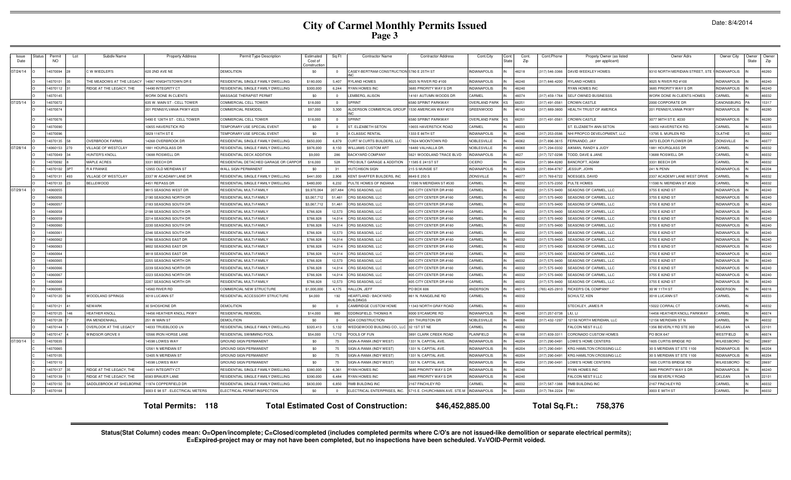| Issue<br>Date | Permit<br>NO. | Lot | Subdiv Name                   | <b>Property Address</b>          | Permit Type Description                  | Estimated<br>Cost of<br>onstructio | Sq Ft          | <b>Contractor Name</b>                          | <b>Contractor Address</b>    | Cont.City            | Cont.<br>Stat | Cont.<br>Zip | Cont.Phone     | Propety Owner (as listed<br>per applicant) | Owner Adrs                      | Owner City          | Owner<br>State | Owner<br>Zip |
|---------------|---------------|-----|-------------------------------|----------------------------------|------------------------------------------|------------------------------------|----------------|-------------------------------------------------|------------------------------|----------------------|---------------|--------------|----------------|--------------------------------------------|---------------------------------|---------------------|----------------|--------------|
| 07/24/14      | 1070094       |     | WWIEDLER'S                    | 620 2ND AVE NE                   | <b>DEMOLITION</b>                        | \$0                                | $\overline{0}$ | CASEY-BERTRAM CONSTRUCTION 5780 E 25TH ST       |                              | NDIANAPOLIS          |               | 46218        | 317) 546-3366  | DAVID WEEKLEY HOMES                        | 9310 NORTH MERIDIAN STREET, STI | <b>INDIANAPOLIS</b> |                | 46260        |
|               | 4070101       |     | HE MEADOWS AT THE LEGACY      | 4067 KNIGHTSTOWN DR E            | RESIDENTIAL SINGLE FAMILY DWELLING       | \$180,000                          | 5,407          | <b>RYLAND HOMES</b>                             | 9025 N RIVER RD #100         | <b>INDIANAPOLIS</b>  |               | 46240        | 317) 846-4200  | RYLAND HOMES                               | 9025 N RIVER RD #100            | <b>INDIANAPOLIS</b> |                | 46240        |
|               | 4070112       |     | RIDGE AT THE LEGACY, THE      | 4490 INTEGRITY CT                | <b>ESIDENTIAL SINGLE FAMILY DWELLING</b> | \$300,000                          | 6,244          | <b>RYAN HOMES INC</b>                           | 685 PRIORITY WAYS DF         | <b>INDIANAPOLIS</b>  |               | 46240        |                | <b>RYAN HOMES INC</b>                      | <b>3685 PRIORITY WAY S DR</b>   | <b>INDIANAPOLIS</b> |                | 46240        |
|               | 1070145       |     |                               | <b>VORK DONE IN CLIENTS</b>      | <b>MASSAGE THERAPIST PERMIT</b>          | \$0                                | $\Omega$       | EMBERG, ALISON                                  | 4161 AUTUMN WOODS DR         | CARMEL               |               | 16074        | 317) 459-1764  | <b>SELF OWNED BUSINESSS</b>                | WORK DONE IN CLIENTS HOMES      | CARMEL              |                | 46032        |
| 07/25/14      | 1070072       |     |                               | 35 W. MAIN ST - CELL TOWER       | OMMERCIAL CELL TOWER                     | \$18,000                           | $\overline{0}$ | <b>SPRINT</b>                                   | 580 SPRINT PARKWAY           | <b>OVERLAND PARK</b> | (S            |              | 317) 491-0561  | CROWN CASTLE                               | 2000 CORPORATE DF               | CANONSBURG          |                | 15317        |
|               | 4070074       |     |                               | 201 PENNSYLVANIA PKWY #225       | <b>COMMERCIAL REMODEL</b>                | \$97,000                           | 3,300          | ALDERSON COMMERCIAL GROUI                       | 1530 AMERICAN WAY #210       | GREENWOOD            |               | 46143        | (317) 889-3800 | <b>HEALTH TRUST OF AMERICA</b>             | 201 PENNSYLVANIA PKWY           | <b>INDIANAPOLIS</b> |                | 46280        |
|               | 1070076       |     |                               | 490 E 126TH ST - CELL TOWER      | OMMERCIAL CELL TOWER                     | \$18,000                           | $\Omega$       | <b>SPRINT</b>                                   | 580 SPRINT PARKWAY           | OVERLAND PARI        | (S            | 6625         | 317) 491-0561  | CROWN CASTLE                               | 3077 98TH ST E. #230            | <b>INDIANAPOLIS</b> |                | 46280        |
|               | 4070090       |     |                               | 0655 HAVERSTICK RD               | EMPORARY USE SPECIAL EVENT               | \$0                                | $\overline{0}$ | ST. ELIZABETH SETON                             | 0655 HAVERSTICK ROAD         | CARMEL               |               | 16031        |                | ST. ELIZABETH ANN SETON                    | 0655 HAVERSTICK RD              | CARMEI              |                | 46033        |
|               | 4070096       |     |                               | 5829 116TH ST E                  | <b>FEMPORARY USE SPECIAL EVENT</b>       | \$0                                | $\Omega$       | A CLASSIC RENTAL                                | 1333 E 86TH ST               | <b>INDIANAPOLIS</b>  |               | 46240        | (317) 253-0586 | NHI PROPCO DEVELOPMENT, LLC                | 13795 S. MURLEN RD              | OLATHE              | ∕ c            | 66062        |
|               | 4070135       |     | <b>OVERBROOK FARMS</b>        | 4268 OVERBROOK DF                | RESIDENTIAL SINGLE FAMILY DWELLING       | \$650,000                          | 6,879          | CURT M CURTS BUILDERS, LLC                      | 17824 MOONTOWN RD            | NOBLESVILLE          |               | 46062        | (317) 896-3615 | FERNANDO, JAY                              | 3973 ELDOR FLOWER DF            | ZIONSVILLE          |                | 46077        |
| 07/28/14      | 4060153       |     | VILLAGE OF WESTCLAY           | 881 HOURGLASS DR                 | RESIDENTIAL SINGLE FAMILY DWELLING       | \$976,000                          | 8,150          | <b>WILLIAMS CUSTOM ART</b>                      | 16480 VALHALLA DR            | NOBLESVILLE          |               | 46060        | (317) 294-0332 | AIKMAN, RANDY & JUDY                       | 1881 HOURGLASS DF               | CARMEL              |                | 46032        |
|               | 4070049       |     | <b>HUNTER'S KNOLL</b>         | 3688 ROSWELL DR                  | RESIDENTIAL DECK ADDITION                | \$9,000                            | 286            | <b>BACKYARD COMPANY</b>                         | 5621 WOODLAND TRACE BLVD     | <b>INDIANAPOLIS</b>  |               | 4627         | (317) 727-0298 | TODD, DAVE & JANE                          | 13688 ROSWELL DR                | CARMEL              |                | 46032        |
|               | 4070092       |     | MAPLE ACRES                   | 331 BEECH DR                     | RESIDENTIAL DETACHED GARAGE OR CARPO     | \$16,000                           | 528            | PRO BUILT GARAGE & ADDITION                     | 11585 E 241ST ST             | CICERO               |               | 46034        | (317) 984-8280 | BANCROFT, ADAM                             | 3331 BEECH DF                   | CARMEL              |                | 46032        |
|               | 4070102       |     | <b>R A FRANKE</b>             | 2955 OLD MERIDIAN ST             | <b>VALL SIGN PERMANENT</b>               | \$0                                | 31             | <b>HUTCHISON SIGN</b>                           | 215 S MUNSIE ST              | <b>INDIANAPOLIS</b>  |               | 46229        | (317) 894-8787 | JESSUP, JOHN                               | 241 N PENN                      | <b>INDIANAPOLIS</b> |                | 46204        |
|               | 4070131       | 493 | VILLAGE OF WESTCLAY           | 2337 W ACADAMY LANE DF           | RESIDENTIAL SINGLE FAMILY DWELLING       | \$441,000                          | 2,906          | KENT SHAFFER BUILDERS, INC                      | 8649 E 250 S                 | ZIONSVILLE           |               | 4607         | (317) 769-6722 | NOESGES, DAVID                             | 2337 ACADEMY LANE WEST DRIVE    | CARMEL              |                | 46032        |
|               | 4070133       |     | <b>BELLEWOOD</b>              | 4451 REPASS DR                   | ESIDENTIAL SINGLE FAMILY DWELLING        | \$480,000                          | 6.232          | PULTE HOMES OF INDIANA                          | 1590 N MERIDIAN ST #530      | CARMEL               |               | 46032        | (317) 575-2350 | PULTE HOMES                                | 11590 N. MERIDIAN ST #530       | CARMEL              |                | 46032        |
| 07/29/14      | 4060055       |     |                               | 815 SEASONS WEST DR              | <b>ESIDENTIAL MULTI-FAMILY</b>           | \$9,970,064                        | 207.484        | CRG SEASONS, LLC                                | 805 CITY CENTER DR #160      | CARMEL               |               | 46032        | 317) 575-9400  | SEASONS OF CARMEL, LLC                     | 3755 E 82ND ST                  | <b>INDIANAPOLIS</b> |                | 46240        |
|               | 1060056       |     |                               | 190 SEASONS NORTH DF             | ESIDENTIAL MULTI-FAMILY                  | \$3,067,712                        | 51.461         | CRG SEASONS, LLC                                | 805 CITY CENTER DR #160      | CARMEL               |               | 46032        | 317) 575-9400  | SEASONS OF CARMEL, LLC                     | 3755 E 82ND ST                  | <b>INDIANAPOLIS</b> |                | 46240        |
|               | 4060057       |     |                               | 183 SEASONS SOUTH DR             | <b>ESIDENTIAL MULTI-FAMILY</b>           | \$3,067.71                         | 51.461         | CRG SEASONS, LLC                                | 805 CITY CENTER DR #160      | CARMEL               |               | 46032        | 317) 575-9400  | SEASONS OF CARMEL, LLC                     | 3755 E 82ND ST                  | <b>INDIANAPOLIS</b> |                | 46240        |
|               | 4060058       |     |                               | 2198 SEASONS SOUTH DR            | RESIDENTIAL MULTI-FAMIL'                 | \$766,928                          | 12,573         | CRG SEASONS, LLC                                | 805 CITY CENTER DR #160      | CARMEL               | IN            | 46032        | (317) 575-9400 | SEASONS OF CARMEL, LLC                     | 3755 E 82ND ST                  | <b>INDIANAPOLIS</b> |                | 46240        |
|               | 406005        |     |                               | 2214 SEASONS SOUTH DR            | <b>RESIDENTIAL MULTI-FAMILY</b>          | \$766,928                          | 14.014         | CRG SEASONS, LLC                                | 805 CITY CENTER DR #160      | CARME                |               | 46032        | (317) 575-9400 | SEASONS OF CARMEL, LLC                     | 3755 E 82ND ST                  | <b>INDIANAPOLIS</b> |                | 46240        |
|               | 4060060       |     |                               | 2230 SEASONS SOUTH DR            | RESIDENTIAL MULTI-FAMILY                 | \$766,928                          | 14.014         | CRG SEASONS, LLC                                | 805 CITY CENTER DR #160      | CARMEL               | IN.           | 46032        | (317) 575-9400 | SEASONS OF CARMEL, LLC                     | 3755 E 82ND ST                  | <b>INDIANAPOLIS</b> |                | 46240        |
|               | 4060061       |     |                               | 246 SEASONS SOUTH DR             | RESIDENTIAL MULTI-FAMILY                 | \$766,928                          | 12,573         | CRG SEASONS, LLC                                | 805 CITY CENTER DR #160      | CARMEL               |               | 46032        | (317) 575-9400 | SEASONS OF CARMEL, LLC                     | 3755 E 82ND ST                  | <b>INDIANAPOLIS</b> |                | 46240        |
|               | 4060062       |     |                               | 786 SEASONS FAST DE              | <b>RESIDENTIAL MULTI-FAMILY</b>          | \$766,928                          | 14.014         | CRG SEASONS, LLC                                | 805 CITY CENTER DR #160      | CARMEL               | IN            | 46032        | (317) 575-9400 | SEASONS OF CARMEL LLC                      | 3755 E 82ND ST                  | <b>INDIANAPOLIS</b> |                | 46240        |
|               | 4060063       |     |                               | 9802 SEASONS EAST DR             | RESIDENTIAL MULTI-FAMILY                 | \$766,928                          | 14,014         | CRG SEASONS, LLC                                | 805 CITY CENTER DR #160      | CARMEL               |               | 46032        | (317) 575-9400 | SEASONS OF CARMEL, LLC                     | 3755 E 82ND ST                  | <b>INDIANAPOLIS</b> |                | 46240        |
|               | 4060064       |     |                               | 9818 SEASONS FAST DR             | <b>RESIDENTIAL MULTI-FAMILY</b>          | \$766,928                          | 14.014         | CRG SEASONS, LLC                                | 805 CITY CENTER DR #160      | CARMEL               | IN            | 46032        | (317) 575-9400 | SEASONS OF CARMEL, LLC                     | 3755 E 82ND ST                  | <b>INDIANAPOLIS</b> |                | 46240        |
|               | 4060065       |     |                               | 255 SEASONS NORTH DR             | <b>ESIDENTIAL MULTI-FAMILY</b>           | \$766,928                          | 12.573         | CRG SEASONS, LLC                                | 805 CITY CENTER DR #160      | CARMEL               |               | 46032        | (317) 575-9400 | SEASONS OF CARMEL, LLC                     | 3755 E 82ND ST                  | <b>INDIANAPOLIS</b> |                | 46240        |
|               | 4060066       |     |                               | 2239 SEASONS NORTH DR            | ESIDENTIAL MULTI-FAMILY                  | \$766,928                          | 14.014         | CRG SEASONS, LLC                                | 805 CITY CENTER DR #160      | CARMEL               |               | 16032        | 317) 575-9400  | SEASONS OF CARMEL, LLC                     | 3755 E 82ND ST                  | <b>INDIANAPOLIS</b> |                | 46240        |
|               | 4060067       |     |                               | 2223 SEASONS NORTH DR            | ESIDENTIAL MULTI-FAMILY                  | \$766,928                          | 14.014         | CRG SEASONS, LLC                                | 805 CITY CENTER DR #160      | CARMEL               |               | 16032        | 317) 575-9400  | SEASONS OF CARMEL, LLC                     | 3755 E 82ND ST                  | <b>INDIANAPOLIS</b> |                | 46240        |
|               | 4060068       |     |                               | 207 SEASONS NORTH DR             | <b>ESIDENTIAL MULTI-FAMILY</b>           | \$766,928                          | 12.573         | CRG SEASONS, LLC                                | 805 CITY CENTER DR #160      | CARMEL               |               |              | 317) 575-9400  | SEASONS OF CARMEL, LLC                     | 3755 E 82ND ST                  | <b>INDIANAPOLIS</b> |                | 46240        |
|               | 4060085       |     |                               | 4560 RIVER RD                    | COMMERCIAL NEW STRUCTURE                 | \$1,000,00                         | 4,175          | HALLON, JEFF                                    | PO BOX 606                   | ANDERSON             |               | 46015        | 765) 425-2910  | RICKER'S OIL COMPANY                       | 30 W 11TH ST                    | ANDERSON            |                | 46016        |
|               | 4070120       |     | WOODLAND SPRINGS              | 3018 LUCANN ST                   | RESIDENTIAL ACCESSORY STRUCTURI          | \$4,000                            | 192            | <b>IEARTLAND / BACKYARD</b><br><b>BUILDINGS</b> | 861 N. RANGELINE RD          | CARMEL               |               | 46032        |                | SCHULTZ, KEN                               | 3018 LUCANN ST                  | CARMEL              |                | 46033        |
|               | 4070121       |     | NEWARK                        | 30 SHOSHONE DF                   | DEMOLITION                               | \$0                                | $\overline{0}$ | <b>CAMBRIDGE CUSTOM HOME</b>                    | 11343 NORTH GRAY ROAD        | CARMEL               |               | 46033        |                | STECKLEY, JAMES R                          | 15022 CORRAL CT                 | CARMEL              |                | 46032        |
|               | 4070125       |     | <b>HEATHER KNOLI</b>          | 4456 HEATHER KNOLL PKWY          | RESIDENTIAL REMODEL                      | \$14,000                           | 980            | EDDINGFIELD, THOMAS R                           | 8000 SYCAMORE RD             | <b>INDIANAPOLIS</b>  |               | 46240        | (317) 257-0738 | LIU, LI                                    | 14456 HEATHER KNOLL PARKWAY     | CARMEL              |                | 46074        |
|               | 4070128       |     | <b>IRA MENDENHALL</b>         | 51 W MAIN ST                     | DEMOLITION                               | \$0                                | $\sim$         | <b>ADA CONSTRUCTION</b>                         | 201 THURSTON DF              | NOBLESVILLE          |               | 46060        | (317) 432-1297 | 12156 NORTH MERIDIAN, LLC                  | 12156 MERIDIAN ST N             | CARMEL              |                | 46032        |
|               | 4070144       |     | <b>OVERLOOK AT THE LEGACY</b> | 4033 TRUEBLOOD LN                | RESIDENTIAL SINGLE FAMILY DWELLING       | \$320,413                          | 5.132          | WEDGEWOOD BUILDING CO., LLC                     | 32 1ST ST NE                 | CARMEL               |               | 46032        |                | FALCON NEST II LLC                         | 1356 BEVERLY RD STE 300         | <b>MCLEAN</b>       |                | 22101        |
|               | 4070147       |     | WINDSOR GROVE II              | 0566 IRON HORSE LANE             | <b>ESIDENTIAL SWIMMING POOL</b>          | \$54,000                           | 1,712          | POOLS OF FUN                                    | 3891 CLARK CREEK ROAD        | PLAINFIELD           |               | 46168        | 317) 839-3311  | CORONADO CUSTOM HOMES                      | PO BOX 647                      | WESTFIELD           |                | 46074        |
| 07/30/14      | 4070035       |     |                               | 4598 LOWES WAY                   | <b>GROUND SIGN PERMANENT</b>             | \$0                                | 75             | SIGN-A-RAMA (INDY WEST)                         | 1331 N. CAPITAL AVE          | <b>INDIANAPOLIS</b>  |               | 46204        | (317) 290-0491 | LOWE'S HOME CENTERS                        | 1605 CURTIS BRIDGE RD           | WILKESBORO          |                | 28697        |
|               | 4070065       |     |                               | 2561 N MERIDIAN ST               | GROUND SIGN PERMANENT                    | \$0                                | 75             | SIGN-A-RAMA (INDY WEST)                         | 1331 N. CAPITAL AVE          | <b>INDIANAPOLIS</b>  |               | 46204        | (317) 290-0491 | KRG HAMILTON CROSSING LLC                  | 30 S MERIDIAN ST STE 1100       | <b>INDIANAPOLIS</b> |                | 46204        |
|               | 4070105       |     |                               | 2405 N MERIDIAN ST               | GROUND SIGN PERMANENT                    | \$0                                | 75             | SIGN-A-RAMA (INDY WEST)                         | 1331 N. CAPITAL AVE          | <b>INDIANAPOLIS</b>  |               | 46204        | (317) 290-0491 | KRG HAMILTON CROSSING LLC                  | 30 S MERIDIAN ST STE 1100       | <b>INDIANAPOLIS</b> |                | 46204        |
|               | 4070110       |     |                               | 4598 LOWES WAY                   | <b>SROUND SIGN PERMANENT</b>             | \$0                                | 75             | SIGN-A-RAMA (INDY WEST)                         | 1331 N. CAPITAL AVE.         | <b>INDIANAPOLIS</b>  |               | 46204        | 317) 290-0491  | LOWE'S HOME CENTERS                        | 1605 CURTIS BRIDGE RD           | <b>WILKESBORO</b>   |                | 28697        |
|               | 4070137       |     | RIDGE AT THE LEGACY. THE      | 4451 INTEGRITY CT                | ESIDENTIAL SINGLE FAMILY DWELLING        | \$380,000                          | 6.361          | <b>RYAN HOMES INC</b>                           | 685 PRIORITY WAYS DF         | <b>INDIANAPOLIS</b>  |               | 46240        |                | <b>RYAN HOMES INC</b>                      | <b>3685 PRIORITY WAY S DR</b>   | <b>INDIANAPOLIS</b> |                | 46240        |
|               | 1070139       |     | RIDGE AT THE LEGACY, THE      | 583 BRAUER LANE                  | ESIDENTIAL SINGLE FAMILY DWELLING        | \$390,000                          | 6.484          | YAN HOMES INC                                   | 685 PRIORITY WAY S DF        | <b>INDIANAPOLIS</b>  |               | 16240        |                | FALCON NEST II LLC                         | 356 BEVERLY ROAD                | <b>MCLEAN</b>       |                | 22101        |
|               | 4070150       |     | SADDLEBROOK AT SHELBORN       | 1974 COPPERFIELD DF              | ESIDENTIAL SINGLE FAMILY DWELLING        | \$630,000                          | 6,850          | RMB BUILDING INC                                | 2167 FINCHLEY RD             | CARMEL               |               | 16032        | (317) 587-1388 | RMB BUILDING INC                           | 2167 FINCHLEY RD                | CARMEL              |                | 46032        |
|               | 4070168       |     |                               | 3003 E 98 ST - ELECTRICAL METERS | ELECTRICAL PERMIT/INSPECTION             | \$0                                | $\Omega$       | ELECTRICAL ENTERPRISES, INC.                    | 5715 E. CHURCHMAN AVE. STE.M | <b>INDIANAPOLIS</b>  |               | 46203        | (317) 784-2224 |                                            | 3003 E 98TH ST                  | CARMEL              |                | 46032        |
|               |               |     |                               | <b>Total Permits: 118</b>        |                                          |                                    |                | <b>Total Estimated Cost of Construction:</b>    | \$46,452,885.00              |                      |               |              | Total Sq.Ft.:  | 758,376                                    |                                 |                     |                |              |